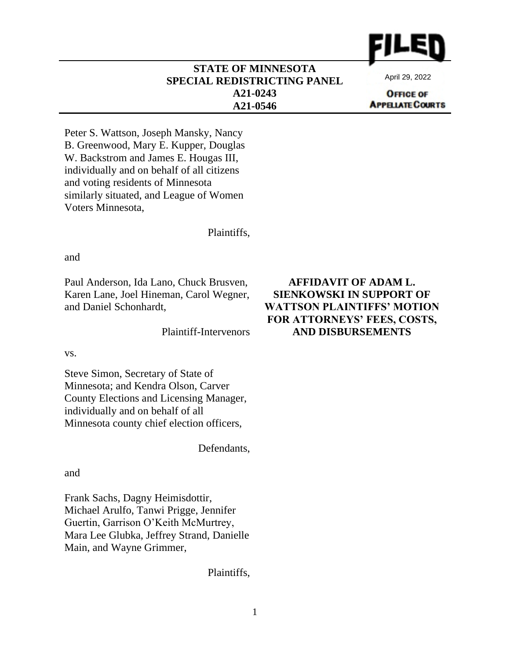

#### **STATE OF MINNESOTA SPECIAL REDISTRICTING PANEL A21-0243 A21-0546**

April 29, 2022

**OFFICE OF APPELATE COURTS** 

Peter S. Wattson, Joseph Mansky, Nancy B. Greenwood, Mary E. Kupper, Douglas W. Backstrom and James E. Hougas III, individually and on behalf of all citizens and voting residents of Minnesota similarly situated, and League of Women Voters Minnesota,

Plaintiffs,

and

Paul Anderson, Ida Lano, Chuck Brusven, Karen Lane, Joel Hineman, Carol Wegner, and Daniel Schonhardt,

Plaintiff-Intervenors

vs.

Steve Simon, Secretary of State of Minnesota; and Kendra Olson, Carver County Elections and Licensing Manager, individually and on behalf of all Minnesota county chief election officers,

Defendants,

and

Frank Sachs, Dagny Heimisdottir, Michael Arulfo, Tanwi Prigge, Jennifer Guertin, Garrison O'Keith McMurtrey, Mara Lee Glubka, Jeffrey Strand, Danielle Main, and Wayne Grimmer,

Plaintiffs,

#### **AFFIDAVIT OF ADAM L. SIENKOWSKI IN SUPPORT OF WATTSON PLAINTIFFS' MOTION FOR ATTORNEYS' FEES, COSTS, AND DISBURSEMENTS**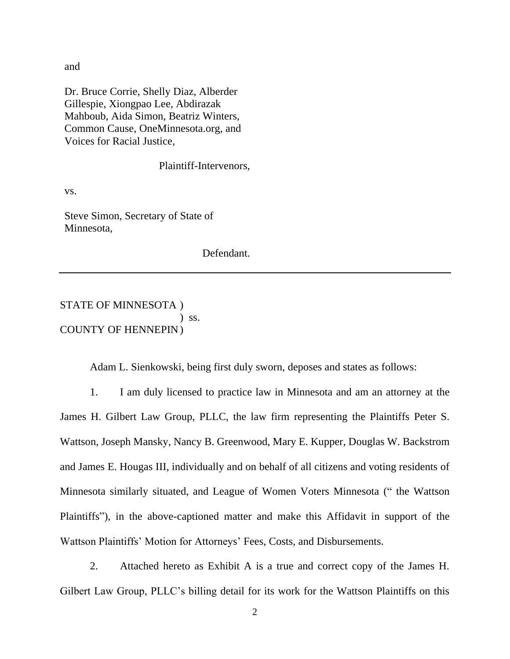and

Dr. Bruce Corrie, Shelly Diaz, Alberder Gillespie, Xiongpao Lee, Abdirazak Mahboub, Aida Simon, Beatriz Winters, Common Cause, OneMinnesota.org, and Voices for Racial Justice,

Plaintiff-Intervenors,

vs.

Steve Simon, Secretary of State of Minnesota,

Defendant.

STATE OF MINNESOTA )  $\sum$  ss. COUNTY OF HENNEPIN)

Adam L. Sienkowski, being first duly sworn, deposes and states as follows:

1. I am duly licensed to practice law in Minnesota and am an attorney at the James H. Gilbert Law Group, PLLC, the law firm representing the Plaintiffs Peter S. Wattson, Joseph Mansky, Nancy B. Greenwood, Mary E. Kupper, Douglas W. Backstrom and James E. Hougas III, individually and on behalf of all citizens and voting residents of Minnesota similarly situated, and League of Women Voters Minnesota (" the Wattson Plaintiffs"), in the above-captioned matter and make this Affidavit in support of the Wattson Plaintiffs' Motion for Attorneys' Fees, Costs, and Disbursements.

2. Attached hereto as Exhibit A is a true and correct copy of the James H. Gilbert Law Group, PLLC's billing detail for its work for the Wattson Plaintiffs on this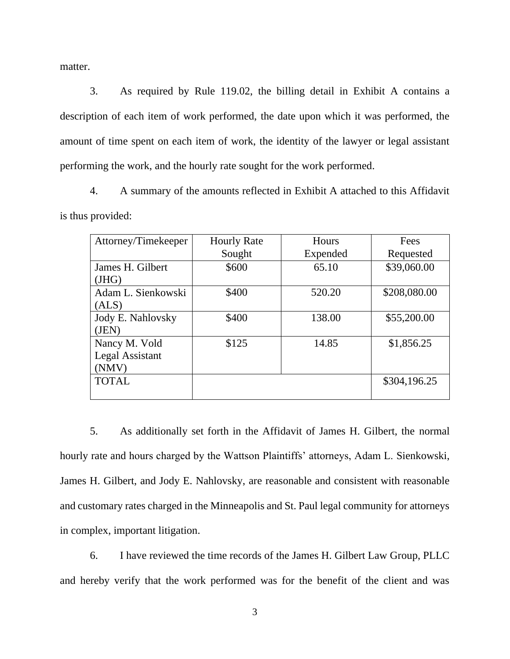matter.

3. As required by Rule 119.02, the billing detail in Exhibit A contains a description of each item of work performed, the date upon which it was performed, the amount of time spent on each item of work, the identity of the lawyer or legal assistant performing the work, and the hourly rate sought for the work performed.

4. A summary of the amounts reflected in Exhibit A attached to this Affidavit is thus provided:

| Attorney/Timekeeper | <b>Hourly Rate</b> | Hours    | Fees         |
|---------------------|--------------------|----------|--------------|
|                     | Sought             | Expended | Requested    |
| James H. Gilbert    | \$600              | 65.10    | \$39,060.00  |
| (HIG)               |                    |          |              |
| Adam L. Sienkowski  | \$400              | 520.20   | \$208,080.00 |
| (ALS)               |                    |          |              |
| Jody E. Nahlovsky   | \$400              | 138.00   | \$55,200.00  |
| (JEN)               |                    |          |              |
| Nancy M. Vold       | \$125              | 14.85    | \$1,856.25   |
| Legal Assistant     |                    |          |              |
| (NMV)               |                    |          |              |
| <b>TOTAL</b>        |                    |          | \$304,196.25 |
|                     |                    |          |              |

5. As additionally set forth in the Affidavit of James H. Gilbert, the normal hourly rate and hours charged by the Wattson Plaintiffs' attorneys, Adam L. Sienkowski, James H. Gilbert, and Jody E. Nahlovsky, are reasonable and consistent with reasonable and customary rates charged in the Minneapolis and St. Paul legal community for attorneys in complex, important litigation.

6. I have reviewed the time records of the James H. Gilbert Law Group, PLLC and hereby verify that the work performed was for the benefit of the client and was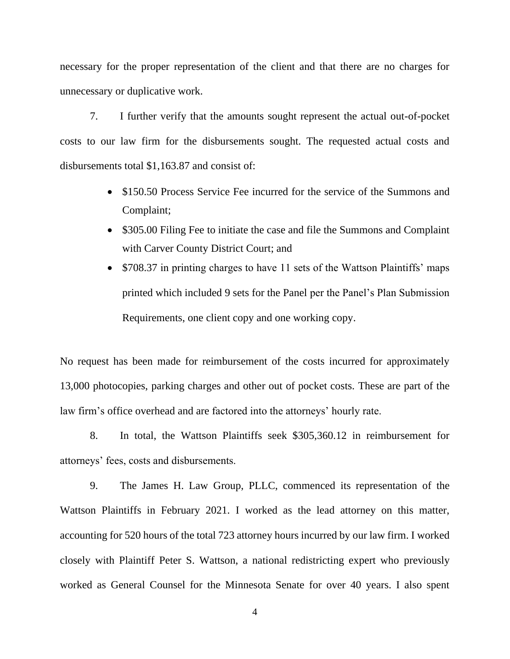necessary for the proper representation of the client and that there are no charges for unnecessary or duplicative work.

7. I further verify that the amounts sought represent the actual out-of-pocket costs to our law firm for the disbursements sought. The requested actual costs and disbursements total \$1,163.87 and consist of:

- \$150.50 Process Service Fee incurred for the service of the Summons and Complaint;
- \$305.00 Filing Fee to initiate the case and file the Summons and Complaint with Carver County District Court; and
- \$708.37 in printing charges to have 11 sets of the Wattson Plaintiffs' maps printed which included 9 sets for the Panel per the Panel's Plan Submission Requirements, one client copy and one working copy.

No request has been made for reimbursement of the costs incurred for approximately 13,000 photocopies, parking charges and other out of pocket costs. These are part of the law firm's office overhead and are factored into the attorneys' hourly rate.

8. In total, the Wattson Plaintiffs seek \$305,360.12 in reimbursement for attorneys' fees, costs and disbursements.

9. The James H. Law Group, PLLC, commenced its representation of the Wattson Plaintiffs in February 2021. I worked as the lead attorney on this matter, accounting for 520 hours of the total 723 attorney hours incurred by our law firm. I worked closely with Plaintiff Peter S. Wattson, a national redistricting expert who previously worked as General Counsel for the Minnesota Senate for over 40 years. I also spent

4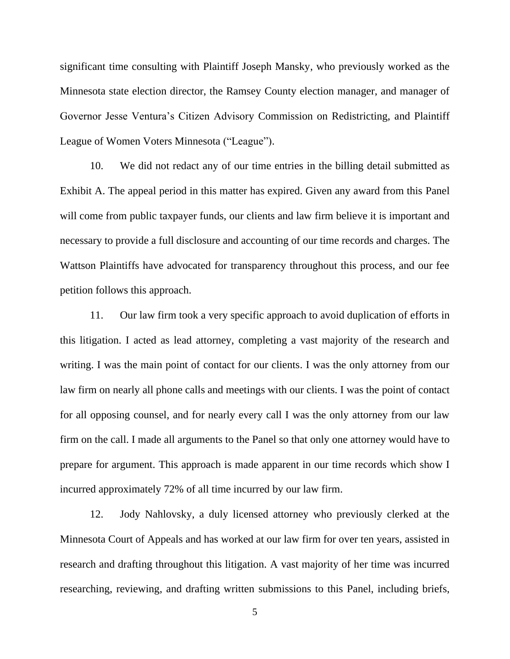significant time consulting with Plaintiff Joseph Mansky, who previously worked as the Minnesota state election director, the Ramsey County election manager, and manager of Governor Jesse Ventura's Citizen Advisory Commission on Redistricting, and Plaintiff League of Women Voters Minnesota ("League").

10. We did not redact any of our time entries in the billing detail submitted as Exhibit A. The appeal period in this matter has expired. Given any award from this Panel will come from public taxpayer funds, our clients and law firm believe it is important and necessary to provide a full disclosure and accounting of our time records and charges. The Wattson Plaintiffs have advocated for transparency throughout this process, and our fee petition follows this approach.

11. Our law firm took a very specific approach to avoid duplication of efforts in this litigation. I acted as lead attorney, completing a vast majority of the research and writing. I was the main point of contact for our clients. I was the only attorney from our law firm on nearly all phone calls and meetings with our clients. I was the point of contact for all opposing counsel, and for nearly every call I was the only attorney from our law firm on the call. I made all arguments to the Panel so that only one attorney would have to prepare for argument. This approach is made apparent in our time records which show I incurred approximately 72% of all time incurred by our law firm.

12. Jody Nahlovsky, a duly licensed attorney who previously clerked at the Minnesota Court of Appeals and has worked at our law firm for over ten years, assisted in research and drafting throughout this litigation. A vast majority of her time was incurred researching, reviewing, and drafting written submissions to this Panel, including briefs,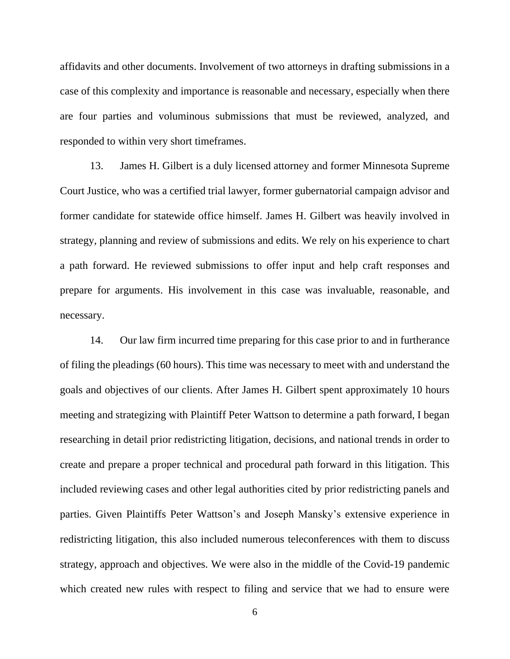affidavits and other documents. Involvement of two attorneys in drafting submissions in a case of this complexity and importance is reasonable and necessary, especially when there are four parties and voluminous submissions that must be reviewed, analyzed, and responded to within very short timeframes.

13. James H. Gilbert is a duly licensed attorney and former Minnesota Supreme Court Justice, who was a certified trial lawyer, former gubernatorial campaign advisor and former candidate for statewide office himself. James H. Gilbert was heavily involved in strategy, planning and review of submissions and edits. We rely on his experience to chart a path forward. He reviewed submissions to offer input and help craft responses and prepare for arguments. His involvement in this case was invaluable, reasonable, and necessary.

14. Our law firm incurred time preparing for this case prior to and in furtherance of filing the pleadings (60 hours). This time was necessary to meet with and understand the goals and objectives of our clients. After James H. Gilbert spent approximately 10 hours meeting and strategizing with Plaintiff Peter Wattson to determine a path forward, I began researching in detail prior redistricting litigation, decisions, and national trends in order to create and prepare a proper technical and procedural path forward in this litigation. This included reviewing cases and other legal authorities cited by prior redistricting panels and parties. Given Plaintiffs Peter Wattson's and Joseph Mansky's extensive experience in redistricting litigation, this also included numerous teleconferences with them to discuss strategy, approach and objectives. We were also in the middle of the Covid-19 pandemic which created new rules with respect to filing and service that we had to ensure were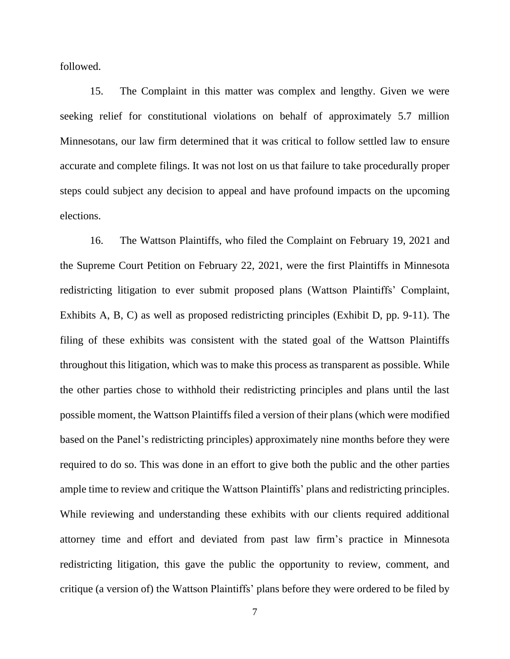followed.

15. The Complaint in this matter was complex and lengthy. Given we were seeking relief for constitutional violations on behalf of approximately 5.7 million Minnesotans, our law firm determined that it was critical to follow settled law to ensure accurate and complete filings. It was not lost on us that failure to take procedurally proper steps could subject any decision to appeal and have profound impacts on the upcoming elections.

16. The Wattson Plaintiffs, who filed the Complaint on February 19, 2021 and the Supreme Court Petition on February 22, 2021, were the first Plaintiffs in Minnesota redistricting litigation to ever submit proposed plans (Wattson Plaintiffs' Complaint, Exhibits A, B, C) as well as proposed redistricting principles (Exhibit D, pp. 9-11). The filing of these exhibits was consistent with the stated goal of the Wattson Plaintiffs throughout this litigation, which was to make this process as transparent as possible. While the other parties chose to withhold their redistricting principles and plans until the last possible moment, the Wattson Plaintiffs filed a version of their plans (which were modified based on the Panel's redistricting principles) approximately nine months before they were required to do so. This was done in an effort to give both the public and the other parties ample time to review and critique the Wattson Plaintiffs' plans and redistricting principles. While reviewing and understanding these exhibits with our clients required additional attorney time and effort and deviated from past law firm's practice in Minnesota redistricting litigation, this gave the public the opportunity to review, comment, and critique (a version of) the Wattson Plaintiffs' plans before they were ordered to be filed by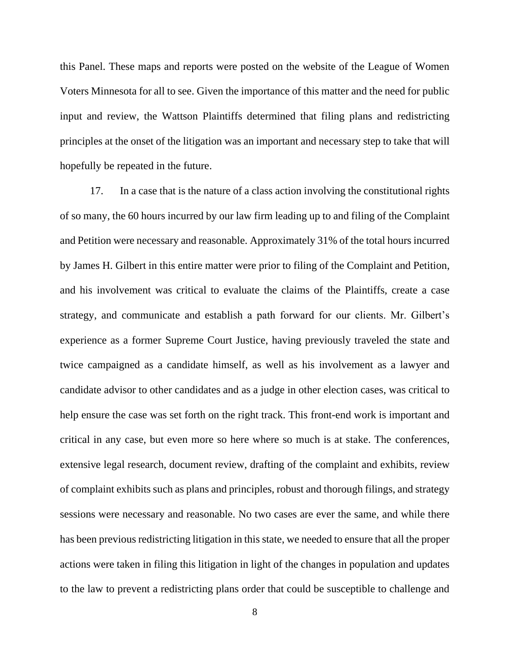this Panel. These maps and reports were posted on the website of the League of Women Voters Minnesota for all to see. Given the importance of this matter and the need for public input and review, the Wattson Plaintiffs determined that filing plans and redistricting principles at the onset of the litigation was an important and necessary step to take that will hopefully be repeated in the future.

17. In a case that is the nature of a class action involving the constitutional rights of so many, the 60 hours incurred by our law firm leading up to and filing of the Complaint and Petition were necessary and reasonable. Approximately 31% of the total hours incurred by James H. Gilbert in this entire matter were prior to filing of the Complaint and Petition, and his involvement was critical to evaluate the claims of the Plaintiffs, create a case strategy, and communicate and establish a path forward for our clients. Mr. Gilbert's experience as a former Supreme Court Justice, having previously traveled the state and twice campaigned as a candidate himself, as well as his involvement as a lawyer and candidate advisor to other candidates and as a judge in other election cases, was critical to help ensure the case was set forth on the right track. This front-end work is important and critical in any case, but even more so here where so much is at stake. The conferences, extensive legal research, document review, drafting of the complaint and exhibits, review of complaint exhibits such as plans and principles, robust and thorough filings, and strategy sessions were necessary and reasonable. No two cases are ever the same, and while there has been previous redistricting litigation in this state, we needed to ensure that all the proper actions were taken in filing this litigation in light of the changes in population and updates to the law to prevent a redistricting plans order that could be susceptible to challenge and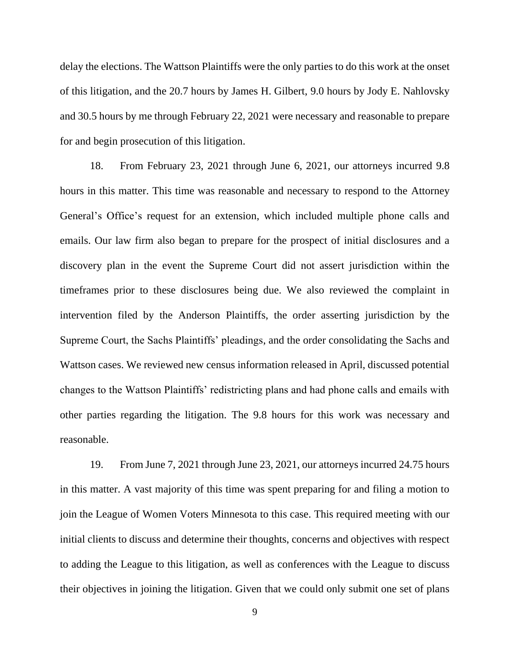delay the elections. The Wattson Plaintiffs were the only parties to do this work at the onset of this litigation, and the 20.7 hours by James H. Gilbert, 9.0 hours by Jody E. Nahlovsky and 30.5 hours by me through February 22, 2021 were necessary and reasonable to prepare for and begin prosecution of this litigation.

18. From February 23, 2021 through June 6, 2021, our attorneys incurred 9.8 hours in this matter. This time was reasonable and necessary to respond to the Attorney General's Office's request for an extension, which included multiple phone calls and emails. Our law firm also began to prepare for the prospect of initial disclosures and a discovery plan in the event the Supreme Court did not assert jurisdiction within the timeframes prior to these disclosures being due. We also reviewed the complaint in intervention filed by the Anderson Plaintiffs, the order asserting jurisdiction by the Supreme Court, the Sachs Plaintiffs' pleadings, and the order consolidating the Sachs and Wattson cases. We reviewed new census information released in April, discussed potential changes to the Wattson Plaintiffs' redistricting plans and had phone calls and emails with other parties regarding the litigation. The 9.8 hours for this work was necessary and reasonable.

19. From June 7, 2021 through June 23, 2021, our attorneys incurred 24.75 hours in this matter. A vast majority of this time was spent preparing for and filing a motion to join the League of Women Voters Minnesota to this case. This required meeting with our initial clients to discuss and determine their thoughts, concerns and objectives with respect to adding the League to this litigation, as well as conferences with the League to discuss their objectives in joining the litigation. Given that we could only submit one set of plans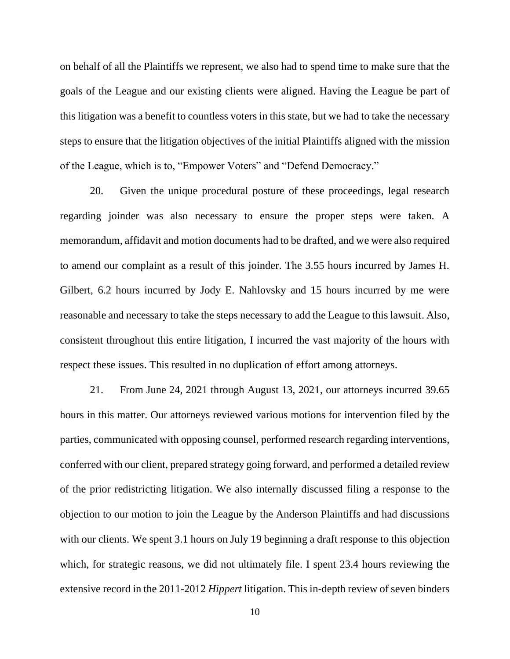on behalf of all the Plaintiffs we represent, we also had to spend time to make sure that the goals of the League and our existing clients were aligned. Having the League be part of this litigation was a benefit to countless voters in this state, but we had to take the necessary steps to ensure that the litigation objectives of the initial Plaintiffs aligned with the mission of the League, which is to, "Empower Voters" and "Defend Democracy."

20. Given the unique procedural posture of these proceedings, legal research regarding joinder was also necessary to ensure the proper steps were taken. A memorandum, affidavit and motion documents had to be drafted, and we were also required to amend our complaint as a result of this joinder. The 3.55 hours incurred by James H. Gilbert, 6.2 hours incurred by Jody E. Nahlovsky and 15 hours incurred by me were reasonable and necessary to take the steps necessary to add the League to this lawsuit. Also, consistent throughout this entire litigation, I incurred the vast majority of the hours with respect these issues. This resulted in no duplication of effort among attorneys.

21. From June 24, 2021 through August 13, 2021, our attorneys incurred 39.65 hours in this matter. Our attorneys reviewed various motions for intervention filed by the parties, communicated with opposing counsel, performed research regarding interventions, conferred with our client, prepared strategy going forward, and performed a detailed review of the prior redistricting litigation. We also internally discussed filing a response to the objection to our motion to join the League by the Anderson Plaintiffs and had discussions with our clients. We spent 3.1 hours on July 19 beginning a draft response to this objection which, for strategic reasons, we did not ultimately file. I spent 23.4 hours reviewing the extensive record in the 2011-2012 *Hippert* litigation. This in-depth review of seven binders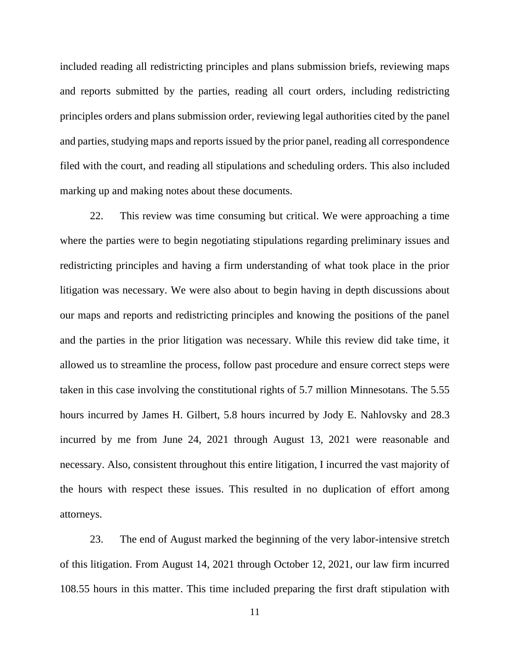included reading all redistricting principles and plans submission briefs, reviewing maps and reports submitted by the parties, reading all court orders, including redistricting principles orders and plans submission order, reviewing legal authorities cited by the panel and parties, studying maps and reports issued by the prior panel, reading all correspondence filed with the court, and reading all stipulations and scheduling orders. This also included marking up and making notes about these documents.

22. This review was time consuming but critical. We were approaching a time where the parties were to begin negotiating stipulations regarding preliminary issues and redistricting principles and having a firm understanding of what took place in the prior litigation was necessary. We were also about to begin having in depth discussions about our maps and reports and redistricting principles and knowing the positions of the panel and the parties in the prior litigation was necessary. While this review did take time, it allowed us to streamline the process, follow past procedure and ensure correct steps were taken in this case involving the constitutional rights of 5.7 million Minnesotans. The 5.55 hours incurred by James H. Gilbert, 5.8 hours incurred by Jody E. Nahlovsky and 28.3 incurred by me from June 24, 2021 through August 13, 2021 were reasonable and necessary. Also, consistent throughout this entire litigation, I incurred the vast majority of the hours with respect these issues. This resulted in no duplication of effort among attorneys.

23. The end of August marked the beginning of the very labor-intensive stretch of this litigation. From August 14, 2021 through October 12, 2021, our law firm incurred 108.55 hours in this matter. This time included preparing the first draft stipulation with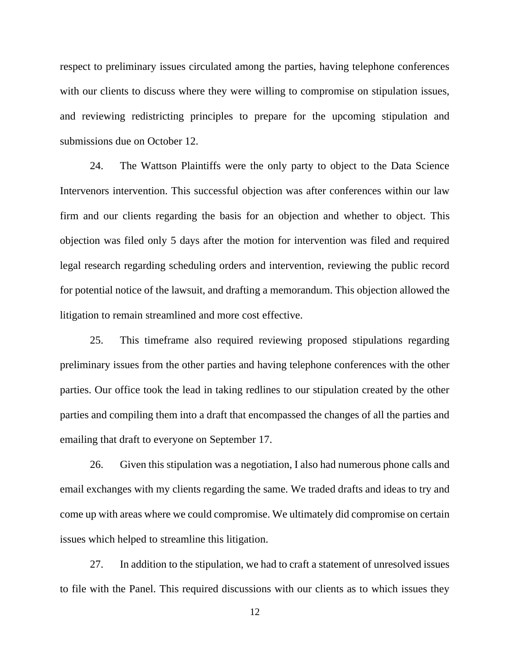respect to preliminary issues circulated among the parties, having telephone conferences with our clients to discuss where they were willing to compromise on stipulation issues, and reviewing redistricting principles to prepare for the upcoming stipulation and submissions due on October 12.

24. The Wattson Plaintiffs were the only party to object to the Data Science Intervenors intervention. This successful objection was after conferences within our law firm and our clients regarding the basis for an objection and whether to object. This objection was filed only 5 days after the motion for intervention was filed and required legal research regarding scheduling orders and intervention, reviewing the public record for potential notice of the lawsuit, and drafting a memorandum. This objection allowed the litigation to remain streamlined and more cost effective.

25. This timeframe also required reviewing proposed stipulations regarding preliminary issues from the other parties and having telephone conferences with the other parties. Our office took the lead in taking redlines to our stipulation created by the other parties and compiling them into a draft that encompassed the changes of all the parties and emailing that draft to everyone on September 17.

26. Given this stipulation was a negotiation, I also had numerous phone calls and email exchanges with my clients regarding the same. We traded drafts and ideas to try and come up with areas where we could compromise. We ultimately did compromise on certain issues which helped to streamline this litigation.

27. In addition to the stipulation, we had to craft a statement of unresolved issues to file with the Panel. This required discussions with our clients as to which issues they

12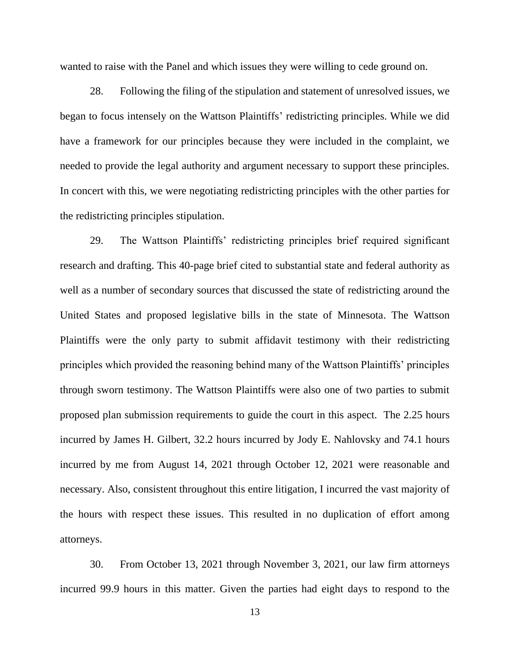wanted to raise with the Panel and which issues they were willing to cede ground on.

28. Following the filing of the stipulation and statement of unresolved issues, we began to focus intensely on the Wattson Plaintiffs' redistricting principles. While we did have a framework for our principles because they were included in the complaint, we needed to provide the legal authority and argument necessary to support these principles. In concert with this, we were negotiating redistricting principles with the other parties for the redistricting principles stipulation.

29. The Wattson Plaintiffs' redistricting principles brief required significant research and drafting. This 40-page brief cited to substantial state and federal authority as well as a number of secondary sources that discussed the state of redistricting around the United States and proposed legislative bills in the state of Minnesota. The Wattson Plaintiffs were the only party to submit affidavit testimony with their redistricting principles which provided the reasoning behind many of the Wattson Plaintiffs' principles through sworn testimony. The Wattson Plaintiffs were also one of two parties to submit proposed plan submission requirements to guide the court in this aspect. The 2.25 hours incurred by James H. Gilbert, 32.2 hours incurred by Jody E. Nahlovsky and 74.1 hours incurred by me from August 14, 2021 through October 12, 2021 were reasonable and necessary. Also, consistent throughout this entire litigation, I incurred the vast majority of the hours with respect these issues. This resulted in no duplication of effort among attorneys.

30. From October 13, 2021 through November 3, 2021, our law firm attorneys incurred 99.9 hours in this matter. Given the parties had eight days to respond to the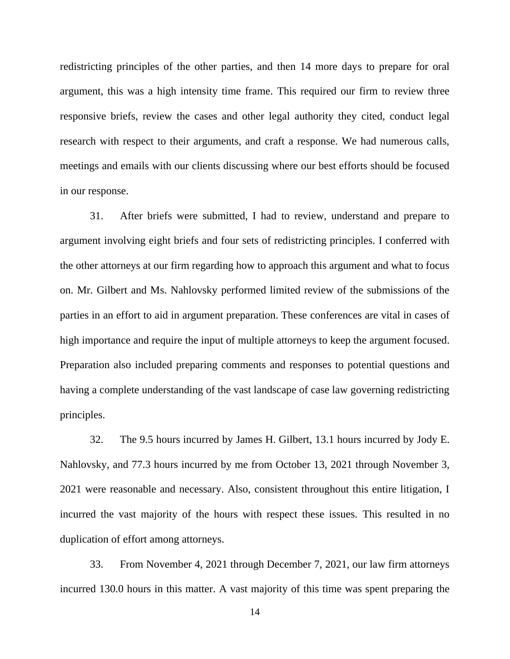redistricting principles of the other parties, and then 14 more days to prepare for oral argument, this was a high intensity time frame. This required our firm to review three responsive briefs, review the cases and other legal authority they cited, conduct legal research with respect to their arguments, and craft a response. We had numerous calls, meetings and emails with our clients discussing where our best efforts should be focused in our response.

31. After briefs were submitted, I had to review, understand and prepare to argument involving eight briefs and four sets of redistricting principles. I conferred with the other attorneys at our firm regarding how to approach this argument and what to focus on. Mr. Gilbert and Ms. Nahlovsky performed limited review of the submissions of the parties in an effort to aid in argument preparation. These conferences are vital in cases of high importance and require the input of multiple attorneys to keep the argument focused. Preparation also included preparing comments and responses to potential questions and having a complete understanding of the vast landscape of case law governing redistricting principles.

32. The 9.5 hours incurred by James H. Gilbert, 13.1 hours incurred by Jody E. Nahlovsky, and 77.3 hours incurred by me from October 13, 2021 through November 3, 2021 were reasonable and necessary. Also, consistent throughout this entire litigation, I incurred the vast majority of the hours with respect these issues. This resulted in no duplication of effort among attorneys.

33. From November 4, 2021 through December 7, 2021, our law firm attorneys incurred 130.0 hours in this matter. A vast majority of this time was spent preparing the

14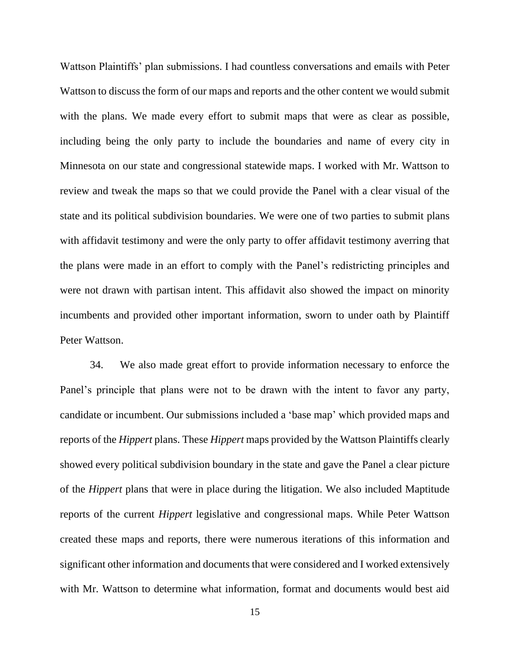Wattson Plaintiffs' plan submissions. I had countless conversations and emails with Peter Wattson to discuss the form of our maps and reports and the other content we would submit with the plans. We made every effort to submit maps that were as clear as possible, including being the only party to include the boundaries and name of every city in Minnesota on our state and congressional statewide maps. I worked with Mr. Wattson to review and tweak the maps so that we could provide the Panel with a clear visual of the state and its political subdivision boundaries. We were one of two parties to submit plans with affidavit testimony and were the only party to offer affidavit testimony averring that the plans were made in an effort to comply with the Panel's redistricting principles and were not drawn with partisan intent. This affidavit also showed the impact on minority incumbents and provided other important information, sworn to under oath by Plaintiff Peter Wattson.

34. We also made great effort to provide information necessary to enforce the Panel's principle that plans were not to be drawn with the intent to favor any party, candidate or incumbent. Our submissions included a 'base map' which provided maps and reports of the *Hippert* plans. These *Hippert* maps provided by the Wattson Plaintiffs clearly showed every political subdivision boundary in the state and gave the Panel a clear picture of the *Hippert* plans that were in place during the litigation. We also included Maptitude reports of the current *Hippert* legislative and congressional maps. While Peter Wattson created these maps and reports, there were numerous iterations of this information and significant other information and documents that were considered and I worked extensively with Mr. Wattson to determine what information, format and documents would best aid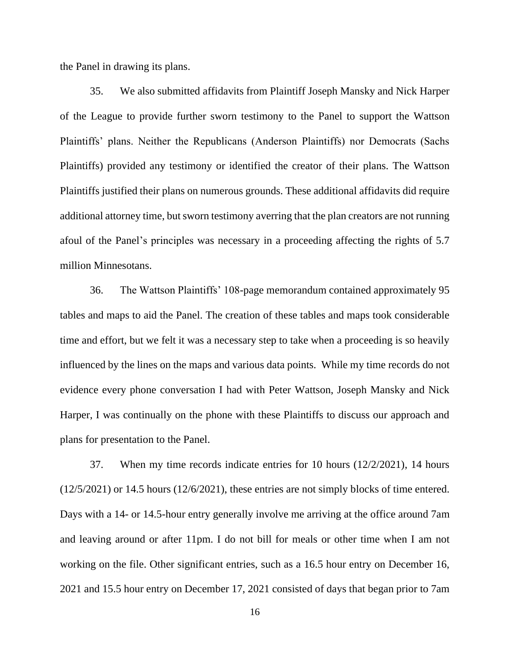the Panel in drawing its plans.

35. We also submitted affidavits from Plaintiff Joseph Mansky and Nick Harper of the League to provide further sworn testimony to the Panel to support the Wattson Plaintiffs' plans. Neither the Republicans (Anderson Plaintiffs) nor Democrats (Sachs Plaintiffs) provided any testimony or identified the creator of their plans. The Wattson Plaintiffs justified their plans on numerous grounds. These additional affidavits did require additional attorney time, but sworn testimony averring that the plan creators are not running afoul of the Panel's principles was necessary in a proceeding affecting the rights of 5.7 million Minnesotans.

36. The Wattson Plaintiffs' 108-page memorandum contained approximately 95 tables and maps to aid the Panel. The creation of these tables and maps took considerable time and effort, but we felt it was a necessary step to take when a proceeding is so heavily influenced by the lines on the maps and various data points. While my time records do not evidence every phone conversation I had with Peter Wattson, Joseph Mansky and Nick Harper, I was continually on the phone with these Plaintiffs to discuss our approach and plans for presentation to the Panel.

37. When my time records indicate entries for 10 hours (12/2/2021), 14 hours (12/5/2021) or 14.5 hours (12/6/2021), these entries are not simply blocks of time entered. Days with a 14- or 14.5-hour entry generally involve me arriving at the office around 7am and leaving around or after 11pm. I do not bill for meals or other time when I am not working on the file. Other significant entries, such as a 16.5 hour entry on December 16, 2021 and 15.5 hour entry on December 17, 2021 consisted of days that began prior to 7am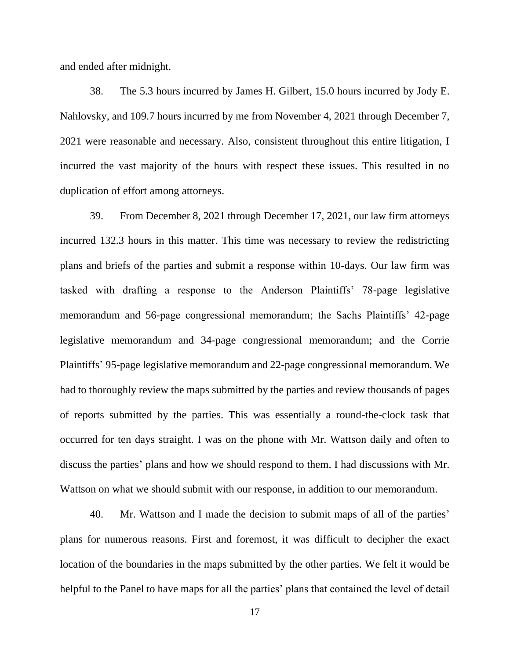and ended after midnight.

38. The 5.3 hours incurred by James H. Gilbert, 15.0 hours incurred by Jody E. Nahlovsky, and 109.7 hours incurred by me from November 4, 2021 through December 7, 2021 were reasonable and necessary. Also, consistent throughout this entire litigation, I incurred the vast majority of the hours with respect these issues. This resulted in no duplication of effort among attorneys.

39. From December 8, 2021 through December 17, 2021, our law firm attorneys incurred 132.3 hours in this matter. This time was necessary to review the redistricting plans and briefs of the parties and submit a response within 10-days. Our law firm was tasked with drafting a response to the Anderson Plaintiffs' 78-page legislative memorandum and 56-page congressional memorandum; the Sachs Plaintiffs' 42-page legislative memorandum and 34-page congressional memorandum; and the Corrie Plaintiffs' 95-page legislative memorandum and 22-page congressional memorandum. We had to thoroughly review the maps submitted by the parties and review thousands of pages of reports submitted by the parties. This was essentially a round-the-clock task that occurred for ten days straight. I was on the phone with Mr. Wattson daily and often to discuss the parties' plans and how we should respond to them. I had discussions with Mr. Wattson on what we should submit with our response, in addition to our memorandum.

40. Mr. Wattson and I made the decision to submit maps of all of the parties' plans for numerous reasons. First and foremost, it was difficult to decipher the exact location of the boundaries in the maps submitted by the other parties. We felt it would be helpful to the Panel to have maps for all the parties' plans that contained the level of detail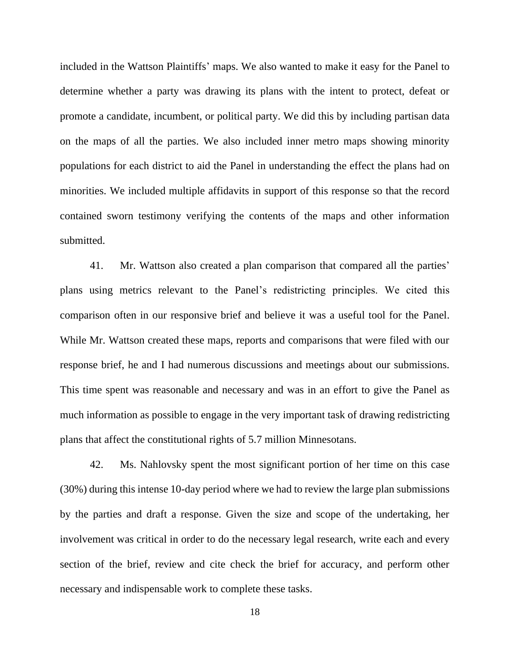included in the Wattson Plaintiffs' maps. We also wanted to make it easy for the Panel to determine whether a party was drawing its plans with the intent to protect, defeat or promote a candidate, incumbent, or political party. We did this by including partisan data on the maps of all the parties. We also included inner metro maps showing minority populations for each district to aid the Panel in understanding the effect the plans had on minorities. We included multiple affidavits in support of this response so that the record contained sworn testimony verifying the contents of the maps and other information submitted.

41. Mr. Wattson also created a plan comparison that compared all the parties' plans using metrics relevant to the Panel's redistricting principles. We cited this comparison often in our responsive brief and believe it was a useful tool for the Panel. While Mr. Wattson created these maps, reports and comparisons that were filed with our response brief, he and I had numerous discussions and meetings about our submissions. This time spent was reasonable and necessary and was in an effort to give the Panel as much information as possible to engage in the very important task of drawing redistricting plans that affect the constitutional rights of 5.7 million Minnesotans.

42. Ms. Nahlovsky spent the most significant portion of her time on this case (30%) during this intense 10-day period where we had to review the large plan submissions by the parties and draft a response. Given the size and scope of the undertaking, her involvement was critical in order to do the necessary legal research, write each and every section of the brief, review and cite check the brief for accuracy, and perform other necessary and indispensable work to complete these tasks.

18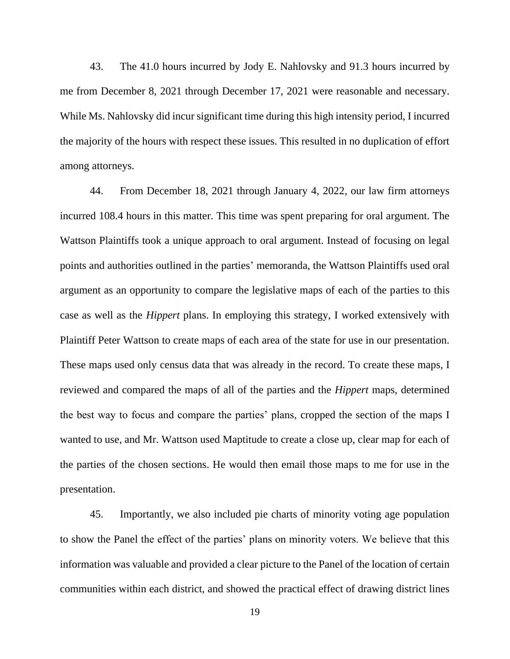43. The 41.0 hours incurred by Jody E. Nahlovsky and 91.3 hours incurred by me from December 8, 2021 through December 17, 2021 were reasonable and necessary. While Ms. Nahlovsky did incur significant time during this high intensity period, I incurred the majority of the hours with respect these issues. This resulted in no duplication of effort among attorneys.

44. From December 18, 2021 through January 4, 2022, our law firm attorneys incurred 108.4 hours in this matter. This time was spent preparing for oral argument. The Wattson Plaintiffs took a unique approach to oral argument. Instead of focusing on legal points and authorities outlined in the parties' memoranda, the Wattson Plaintiffs used oral argument as an opportunity to compare the legislative maps of each of the parties to this case as well as the *Hippert* plans. In employing this strategy, I worked extensively with Plaintiff Peter Wattson to create maps of each area of the state for use in our presentation. These maps used only census data that was already in the record. To create these maps, I reviewed and compared the maps of all of the parties and the *Hippert* maps, determined the best way to focus and compare the parties' plans, cropped the section of the maps I wanted to use, and Mr. Wattson used Maptitude to create a close up, clear map for each of the parties of the chosen sections. He would then email those maps to me for use in the presentation.

45. Importantly, we also included pie charts of minority voting age population to show the Panel the effect of the parties' plans on minority voters. We believe that this information was valuable and provided a clear picture to the Panel of the location of certain communities within each district, and showed the practical effect of drawing district lines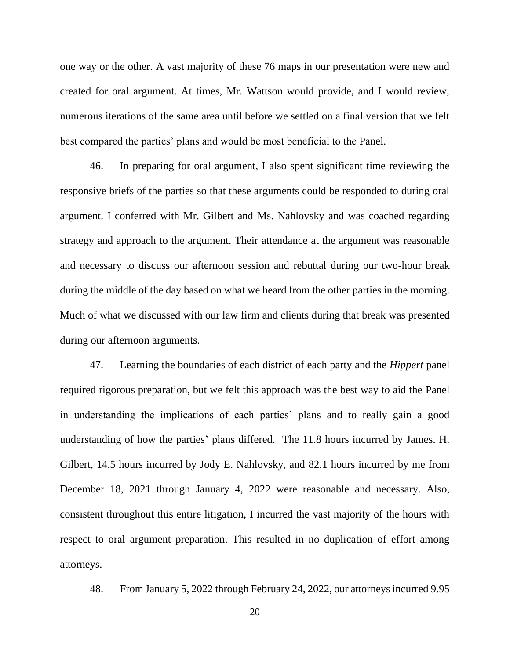one way or the other. A vast majority of these 76 maps in our presentation were new and created for oral argument. At times, Mr. Wattson would provide, and I would review, numerous iterations of the same area until before we settled on a final version that we felt best compared the parties' plans and would be most beneficial to the Panel.

46. In preparing for oral argument, I also spent significant time reviewing the responsive briefs of the parties so that these arguments could be responded to during oral argument. I conferred with Mr. Gilbert and Ms. Nahlovsky and was coached regarding strategy and approach to the argument. Their attendance at the argument was reasonable and necessary to discuss our afternoon session and rebuttal during our two-hour break during the middle of the day based on what we heard from the other parties in the morning. Much of what we discussed with our law firm and clients during that break was presented during our afternoon arguments.

47. Learning the boundaries of each district of each party and the *Hippert* panel required rigorous preparation, but we felt this approach was the best way to aid the Panel in understanding the implications of each parties' plans and to really gain a good understanding of how the parties' plans differed. The 11.8 hours incurred by James. H. Gilbert, 14.5 hours incurred by Jody E. Nahlovsky, and 82.1 hours incurred by me from December 18, 2021 through January 4, 2022 were reasonable and necessary. Also, consistent throughout this entire litigation, I incurred the vast majority of the hours with respect to oral argument preparation. This resulted in no duplication of effort among attorneys.

48. From January 5, 2022 through February 24, 2022, our attorneys incurred 9.95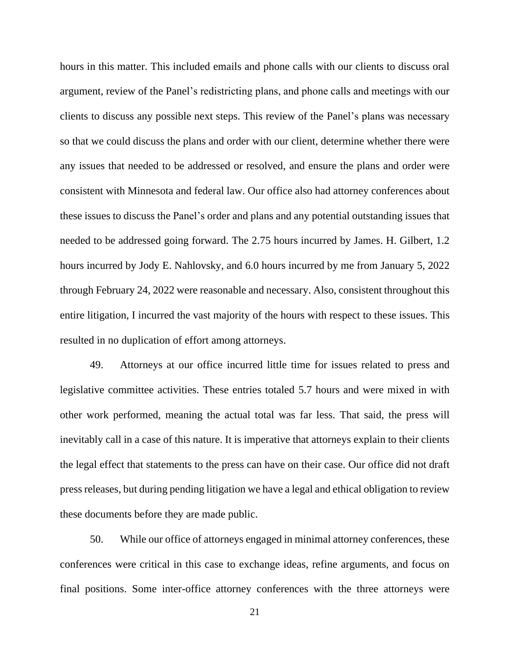hours in this matter. This included emails and phone calls with our clients to discuss oral argument, review of the Panel's redistricting plans, and phone calls and meetings with our clients to discuss any possible next steps. This review of the Panel's plans was necessary so that we could discuss the plans and order with our client, determine whether there were any issues that needed to be addressed or resolved, and ensure the plans and order were consistent with Minnesota and federal law. Our office also had attorney conferences about these issues to discuss the Panel's order and plans and any potential outstanding issues that needed to be addressed going forward. The 2.75 hours incurred by James. H. Gilbert, 1.2 hours incurred by Jody E. Nahlovsky, and 6.0 hours incurred by me from January 5, 2022 through February 24, 2022 were reasonable and necessary. Also, consistent throughout this entire litigation, I incurred the vast majority of the hours with respect to these issues. This resulted in no duplication of effort among attorneys.

49. Attorneys at our office incurred little time for issues related to press and legislative committee activities. These entries totaled 5.7 hours and were mixed in with other work performed, meaning the actual total was far less. That said, the press will inevitably call in a case of this nature. It is imperative that attorneys explain to their clients the legal effect that statements to the press can have on their case. Our office did not draft press releases, but during pending litigation we have a legal and ethical obligation to review these documents before they are made public.

50. While our office of attorneys engaged in minimal attorney conferences, these conferences were critical in this case to exchange ideas, refine arguments, and focus on final positions. Some inter-office attorney conferences with the three attorneys were

21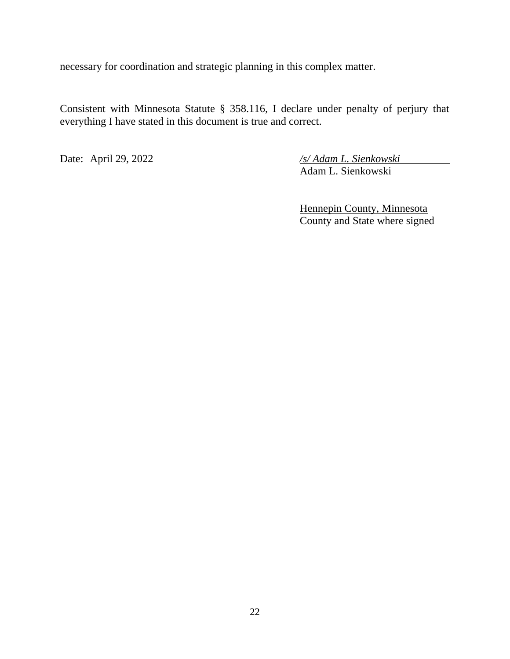necessary for coordination and strategic planning in this complex matter.

Consistent with Minnesota Statute § 358.116, I declare under penalty of perjury that everything I have stated in this document is true and correct.

Date: April 29, 2022 */s/ Adam L. Sienkowski* Adam L. Sienkowski

> Hennepin County, Minnesota County and State where signed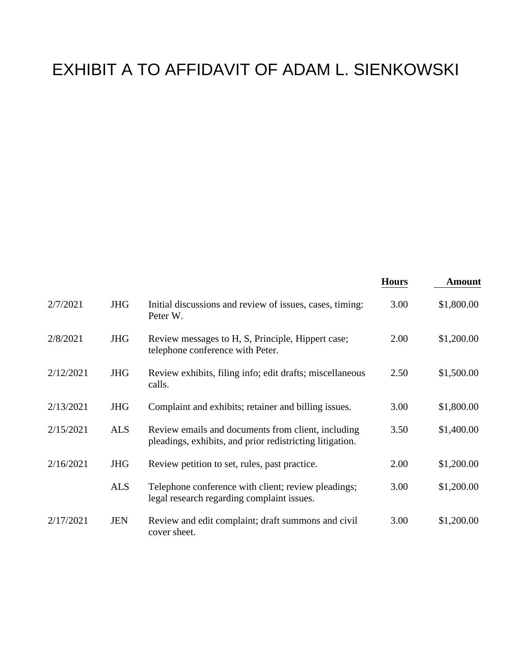# EXHIBIT A TO AFFIDAVIT OF ADAM L. SIENKOWSKI

|           |            |                                                                                                                | <b>Hours</b> | <b>Amount</b> |
|-----------|------------|----------------------------------------------------------------------------------------------------------------|--------------|---------------|
| 2/7/2021  | <b>JHG</b> | Initial discussions and review of issues, cases, timing:<br>Peter W.                                           | 3.00         | \$1,800.00    |
| 2/8/2021  | <b>JHG</b> | Review messages to H, S, Principle, Hippert case;<br>telephone conference with Peter.                          | 2.00         | \$1,200.00    |
| 2/12/2021 | <b>JHG</b> | Review exhibits, filing info; edit drafts; miscellaneous<br>calls.                                             | 2.50         | \$1,500.00    |
| 2/13/2021 | <b>JHG</b> | Complaint and exhibits; retainer and billing issues.                                                           | 3.00         | \$1,800.00    |
| 2/15/2021 | <b>ALS</b> | Review emails and documents from client, including<br>pleadings, exhibits, and prior redistricting litigation. | 3.50         | \$1,400.00    |
| 2/16/2021 | <b>JHG</b> | Review petition to set, rules, past practice.                                                                  | 2.00         | \$1,200.00    |
|           | <b>ALS</b> | Telephone conference with client; review pleadings;<br>legal research regarding complaint issues.              | 3.00         | \$1,200.00    |
| 2/17/2021 | <b>JEN</b> | Review and edit complaint; draft summons and civil<br>cover sheet.                                             | 3.00         | \$1,200.00    |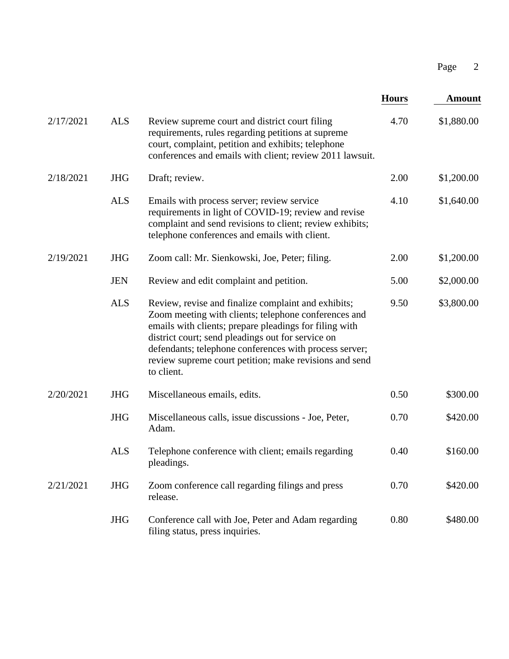|           |            |                                                                                                                                                                                                                                                                                                                                                              |              | $\overline{2}$<br>Page |
|-----------|------------|--------------------------------------------------------------------------------------------------------------------------------------------------------------------------------------------------------------------------------------------------------------------------------------------------------------------------------------------------------------|--------------|------------------------|
|           |            |                                                                                                                                                                                                                                                                                                                                                              | <b>Hours</b> | <b>Amount</b>          |
| 2/17/2021 | <b>ALS</b> | Review supreme court and district court filing<br>requirements, rules regarding petitions at supreme<br>court, complaint, petition and exhibits; telephone<br>conferences and emails with client; review 2011 lawsuit.                                                                                                                                       | 4.70         | \$1,880.00             |
| 2/18/2021 | <b>JHG</b> | Draft; review.                                                                                                                                                                                                                                                                                                                                               | 2.00         | \$1,200.00             |
|           | <b>ALS</b> | Emails with process server; review service<br>requirements in light of COVID-19; review and revise<br>complaint and send revisions to client; review exhibits;<br>telephone conferences and emails with client.                                                                                                                                              | 4.10         | \$1,640.00             |
| 2/19/2021 | <b>JHG</b> | Zoom call: Mr. Sienkowski, Joe, Peter; filing.                                                                                                                                                                                                                                                                                                               | 2.00         | \$1,200.00             |
|           | <b>JEN</b> | Review and edit complaint and petition.                                                                                                                                                                                                                                                                                                                      | 5.00         | \$2,000.00             |
|           | <b>ALS</b> | Review, revise and finalize complaint and exhibits;<br>Zoom meeting with clients; telephone conferences and<br>emails with clients; prepare pleadings for filing with<br>district court; send pleadings out for service on<br>defendants; telephone conferences with process server;<br>review supreme court petition; make revisions and send<br>to client. | 9.50         | \$3,800.00             |
| 2/20/2021 | <b>JHG</b> | Miscellaneous emails, edits.                                                                                                                                                                                                                                                                                                                                 | 0.50         | \$300.00               |
|           | <b>JHG</b> | Miscellaneous calls, issue discussions - Joe, Peter,<br>Adam.                                                                                                                                                                                                                                                                                                | 0.70         | \$420.00               |
|           | <b>ALS</b> | Telephone conference with client; emails regarding<br>pleadings.                                                                                                                                                                                                                                                                                             | 0.40         | \$160.00               |
| 2/21/2021 | <b>JHG</b> | Zoom conference call regarding filings and press<br>release.                                                                                                                                                                                                                                                                                                 | 0.70         | \$420.00               |
|           | <b>JHG</b> | Conference call with Joe, Peter and Adam regarding<br>filing status, press inquiries.                                                                                                                                                                                                                                                                        | 0.80         | \$480.00               |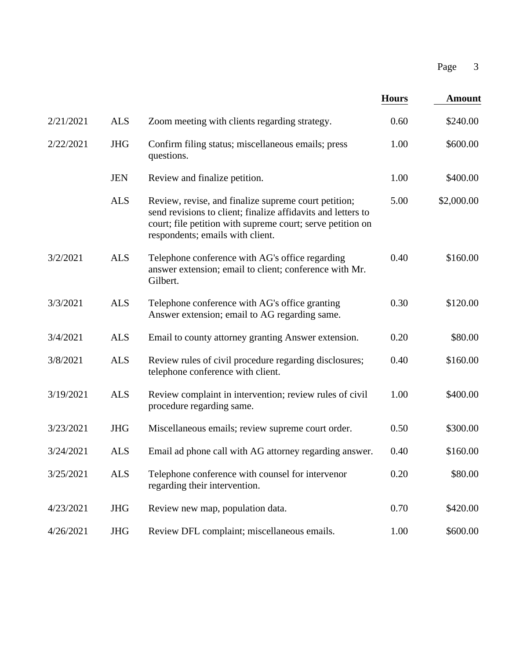|           |            |                                                                                                                                                                                                                        |              | Page<br>3     |  |
|-----------|------------|------------------------------------------------------------------------------------------------------------------------------------------------------------------------------------------------------------------------|--------------|---------------|--|
|           |            |                                                                                                                                                                                                                        | <b>Hours</b> | <b>Amount</b> |  |
| 2/21/2021 | <b>ALS</b> | Zoom meeting with clients regarding strategy.                                                                                                                                                                          | 0.60         | \$240.00      |  |
| 2/22/2021 | <b>JHG</b> | Confirm filing status; miscellaneous emails; press<br>questions.                                                                                                                                                       | 1.00         | \$600.00      |  |
|           | <b>JEN</b> | Review and finalize petition.                                                                                                                                                                                          | 1.00         | \$400.00      |  |
|           | <b>ALS</b> | Review, revise, and finalize supreme court petition;<br>send revisions to client; finalize affidavits and letters to<br>court; file petition with supreme court; serve petition on<br>respondents; emails with client. | 5.00         | \$2,000.00    |  |
| 3/2/2021  | <b>ALS</b> | Telephone conference with AG's office regarding<br>answer extension; email to client; conference with Mr.<br>Gilbert.                                                                                                  | 0.40         | \$160.00      |  |
| 3/3/2021  | <b>ALS</b> | Telephone conference with AG's office granting<br>Answer extension; email to AG regarding same.                                                                                                                        | 0.30         | \$120.00      |  |
| 3/4/2021  | <b>ALS</b> | Email to county attorney granting Answer extension.                                                                                                                                                                    | 0.20         | \$80.00       |  |
| 3/8/2021  | <b>ALS</b> | Review rules of civil procedure regarding disclosures;<br>telephone conference with client.                                                                                                                            | 0.40         | \$160.00      |  |
| 3/19/2021 | <b>ALS</b> | Review complaint in intervention; review rules of civil<br>procedure regarding same.                                                                                                                                   | 1.00         | \$400.00      |  |
| 3/23/2021 | <b>JHG</b> | Miscellaneous emails; review supreme court order.                                                                                                                                                                      | 0.50         | \$300.00      |  |
| 3/24/2021 | <b>ALS</b> | Email ad phone call with AG attorney regarding answer.                                                                                                                                                                 | 0.40         | \$160.00      |  |
| 3/25/2021 | <b>ALS</b> | Telephone conference with counsel for intervenor<br>regarding their intervention.                                                                                                                                      | 0.20         | \$80.00       |  |
| 4/23/2021 | <b>JHG</b> | Review new map, population data.                                                                                                                                                                                       | 0.70         | \$420.00      |  |
| 4/26/2021 | <b>JHG</b> | Review DFL complaint; miscellaneous emails.                                                                                                                                                                            | 1.00         | \$600.00      |  |
|           |            |                                                                                                                                                                                                                        |              |               |  |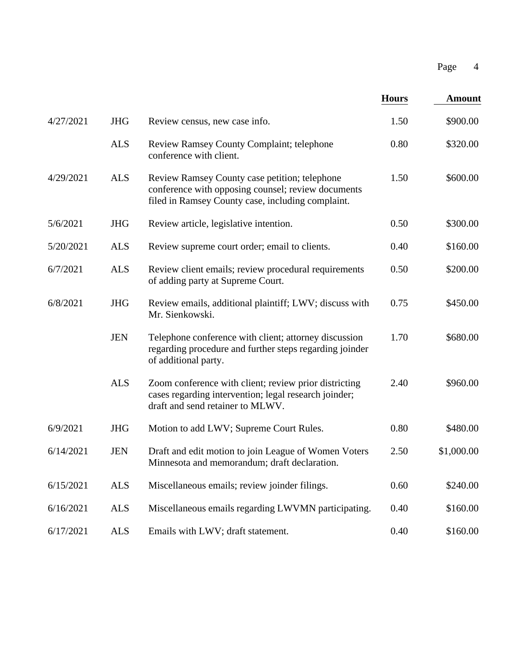|           |            |                                                                                                                                                          |              | Page<br>$\overline{4}$ |  |
|-----------|------------|----------------------------------------------------------------------------------------------------------------------------------------------------------|--------------|------------------------|--|
|           |            |                                                                                                                                                          | <b>Hours</b> | <b>Amount</b>          |  |
| 4/27/2021 | <b>JHG</b> | Review census, new case info.                                                                                                                            | 1.50         | \$900.00               |  |
|           | <b>ALS</b> | Review Ramsey County Complaint; telephone<br>conference with client.                                                                                     | 0.80         | \$320.00               |  |
| 4/29/2021 | <b>ALS</b> | Review Ramsey County case petition; telephone<br>conference with opposing counsel; review documents<br>filed in Ramsey County case, including complaint. | 1.50         | \$600.00               |  |
| 5/6/2021  | <b>JHG</b> | Review article, legislative intention.                                                                                                                   | 0.50         | \$300.00               |  |
| 5/20/2021 | <b>ALS</b> | Review supreme court order; email to clients.                                                                                                            | 0.40         | \$160.00               |  |
| 6/7/2021  | <b>ALS</b> | Review client emails; review procedural requirements<br>of adding party at Supreme Court.                                                                | 0.50         | \$200.00               |  |
| 6/8/2021  | <b>JHG</b> | Review emails, additional plaintiff; LWV; discuss with<br>Mr. Sienkowski.                                                                                | 0.75         | \$450.00               |  |
|           | <b>JEN</b> | Telephone conference with client; attorney discussion<br>regarding procedure and further steps regarding joinder<br>of additional party.                 | 1.70         | \$680.00               |  |
|           | <b>ALS</b> | Zoom conference with client; review prior districting<br>cases regarding intervention; legal research joinder;<br>draft and send retainer to MLWV.       | 2.40         | \$960.00               |  |
| 6/9/2021  | <b>JHG</b> | Motion to add LWV; Supreme Court Rules.                                                                                                                  | 0.80         | \$480.00               |  |
| 6/14/2021 | <b>JEN</b> | Draft and edit motion to join League of Women Voters<br>Minnesota and memorandum; draft declaration.                                                     | 2.50         | \$1,000.00             |  |
| 6/15/2021 | <b>ALS</b> | Miscellaneous emails; review joinder filings.                                                                                                            | 0.60         | \$240.00               |  |
| 6/16/2021 | <b>ALS</b> | Miscellaneous emails regarding LWVMN participating.                                                                                                      | 0.40         | \$160.00               |  |
| 6/17/2021 | <b>ALS</b> | Emails with LWV; draft statement.                                                                                                                        | 0.40         | \$160.00               |  |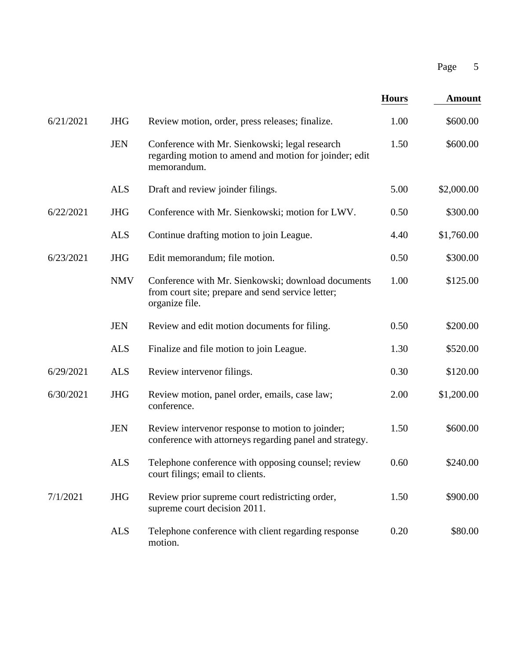|           |            |                                                                                                                           |              | Page<br>5     |  |
|-----------|------------|---------------------------------------------------------------------------------------------------------------------------|--------------|---------------|--|
|           |            |                                                                                                                           | <b>Hours</b> | <b>Amount</b> |  |
| 6/21/2021 | <b>JHG</b> | Review motion, order, press releases; finalize.                                                                           | 1.00         | \$600.00      |  |
|           | <b>JEN</b> | Conference with Mr. Sienkowski; legal research<br>regarding motion to amend and motion for joinder; edit<br>memorandum.   | 1.50         | \$600.00      |  |
|           | <b>ALS</b> | Draft and review joinder filings.                                                                                         | 5.00         | \$2,000.00    |  |
| 6/22/2021 | <b>JHG</b> | Conference with Mr. Sienkowski; motion for LWV.                                                                           | 0.50         | \$300.00      |  |
|           | <b>ALS</b> | Continue drafting motion to join League.                                                                                  | 4.40         | \$1,760.00    |  |
| 6/23/2021 | <b>JHG</b> | Edit memorandum; file motion.                                                                                             | 0.50         | \$300.00      |  |
|           | <b>NMV</b> | Conference with Mr. Sienkowski; download documents<br>from court site; prepare and send service letter;<br>organize file. | 1.00         | \$125.00      |  |
|           | <b>JEN</b> | Review and edit motion documents for filing.                                                                              | 0.50         | \$200.00      |  |
|           | <b>ALS</b> | Finalize and file motion to join League.                                                                                  | 1.30         | \$520.00      |  |
| 6/29/2021 | <b>ALS</b> | Review intervenor filings.                                                                                                | 0.30         | \$120.00      |  |
| 6/30/2021 | <b>JHG</b> | Review motion, panel order, emails, case law;<br>conference.                                                              | 2.00         | \$1,200.00    |  |
|           | <b>JEN</b> | Review intervenor response to motion to joinder;<br>conference with attorneys regarding panel and strategy.               | 1.50         | \$600.00      |  |
|           | <b>ALS</b> | Telephone conference with opposing counsel; review<br>court filings; email to clients.                                    | 0.60         | \$240.00      |  |
| 7/1/2021  | <b>JHG</b> | Review prior supreme court redistricting order,<br>supreme court decision 2011.                                           | 1.50         | \$900.00      |  |
|           | <b>ALS</b> | Telephone conference with client regarding response<br>motion.                                                            | 0.20         | \$80.00       |  |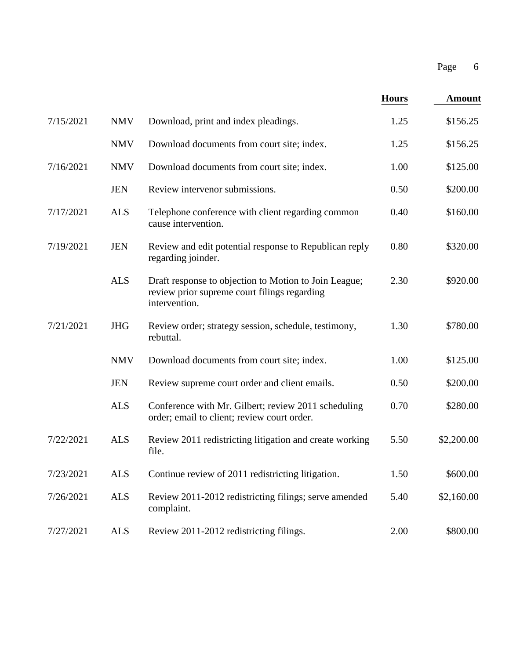|           |            |                                                                                                                        |              | Page<br>6     |  |
|-----------|------------|------------------------------------------------------------------------------------------------------------------------|--------------|---------------|--|
|           |            |                                                                                                                        | <b>Hours</b> | <b>Amount</b> |  |
| 7/15/2021 | <b>NMV</b> | Download, print and index pleadings.                                                                                   | 1.25         | \$156.25      |  |
|           | <b>NMV</b> | Download documents from court site; index.                                                                             | 1.25         | \$156.25      |  |
| 7/16/2021 | <b>NMV</b> | Download documents from court site; index.                                                                             | 1.00         | \$125.00      |  |
|           | <b>JEN</b> | Review intervenor submissions.                                                                                         | 0.50         | \$200.00      |  |
| 7/17/2021 | <b>ALS</b> | Telephone conference with client regarding common<br>cause intervention.                                               | 0.40         | \$160.00      |  |
| 7/19/2021 | <b>JEN</b> | Review and edit potential response to Republican reply<br>regarding joinder.                                           | 0.80         | \$320.00      |  |
|           | <b>ALS</b> | Draft response to objection to Motion to Join League;<br>review prior supreme court filings regarding<br>intervention. | 2.30         | \$920.00      |  |
| 7/21/2021 | <b>JHG</b> | Review order; strategy session, schedule, testimony,<br>rebuttal.                                                      | 1.30         | \$780.00      |  |
|           | <b>NMV</b> | Download documents from court site; index.                                                                             | 1.00         | \$125.00      |  |
|           | <b>JEN</b> | Review supreme court order and client emails.                                                                          | 0.50         | \$200.00      |  |
|           | <b>ALS</b> | Conference with Mr. Gilbert; review 2011 scheduling<br>order; email to client; review court order.                     | 0.70         | \$280.00      |  |
| 7/22/2021 | <b>ALS</b> | Review 2011 redistricting litigation and create working<br>file.                                                       | 5.50         | \$2,200.00    |  |
| 7/23/2021 | <b>ALS</b> | Continue review of 2011 redistricting litigation.                                                                      | 1.50         | \$600.00      |  |
| 7/26/2021 | <b>ALS</b> | Review 2011-2012 redistricting filings; serve amended<br>complaint.                                                    | 5.40         | \$2,160.00    |  |
| 7/27/2021 | <b>ALS</b> | Review 2011-2012 redistricting filings.                                                                                | 2.00         | \$800.00      |  |
|           |            |                                                                                                                        |              |               |  |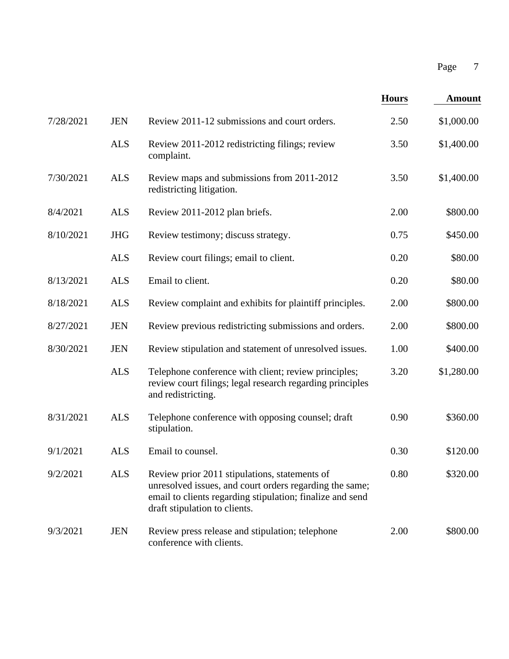|           |            |                                                                                                                                                                                                        |              | Page<br>$\overline{7}$ |  |
|-----------|------------|--------------------------------------------------------------------------------------------------------------------------------------------------------------------------------------------------------|--------------|------------------------|--|
|           |            |                                                                                                                                                                                                        | <b>Hours</b> | <b>Amount</b>          |  |
| 7/28/2021 | <b>JEN</b> | Review 2011-12 submissions and court orders.                                                                                                                                                           | 2.50         | \$1,000.00             |  |
|           | <b>ALS</b> | Review 2011-2012 redistricting filings; review<br>complaint.                                                                                                                                           | 3.50         | \$1,400.00             |  |
| 7/30/2021 | <b>ALS</b> | Review maps and submissions from 2011-2012<br>redistricting litigation.                                                                                                                                | 3.50         | \$1,400.00             |  |
| 8/4/2021  | <b>ALS</b> | Review 2011-2012 plan briefs.                                                                                                                                                                          | 2.00         | \$800.00               |  |
| 8/10/2021 | <b>JHG</b> | Review testimony; discuss strategy.                                                                                                                                                                    | 0.75         | \$450.00               |  |
|           | <b>ALS</b> | Review court filings; email to client.                                                                                                                                                                 | 0.20         | \$80.00                |  |
| 8/13/2021 | <b>ALS</b> | Email to client.                                                                                                                                                                                       | 0.20         | \$80.00                |  |
| 8/18/2021 | <b>ALS</b> | Review complaint and exhibits for plaintiff principles.                                                                                                                                                | 2.00         | \$800.00               |  |
| 8/27/2021 | <b>JEN</b> | Review previous redistricting submissions and orders.                                                                                                                                                  | 2.00         | \$800.00               |  |
| 8/30/2021 | <b>JEN</b> | Review stipulation and statement of unresolved issues.                                                                                                                                                 | 1.00         | \$400.00               |  |
|           | <b>ALS</b> | Telephone conference with client; review principles;<br>review court filings; legal research regarding principles<br>and redistricting.                                                                | 3.20         | \$1,280.00             |  |
| 8/31/2021 | <b>ALS</b> | Telephone conference with opposing counsel; draft<br>stipulation.                                                                                                                                      | 0.90         | \$360.00               |  |
| 9/1/2021  | <b>ALS</b> | Email to counsel.                                                                                                                                                                                      | 0.30         | \$120.00               |  |
| 9/2/2021  | <b>ALS</b> | Review prior 2011 stipulations, statements of<br>unresolved issues, and court orders regarding the same;<br>email to clients regarding stipulation; finalize and send<br>draft stipulation to clients. | 0.80         | \$320.00               |  |
| 9/3/2021  | <b>JEN</b> | Review press release and stipulation; telephone<br>conference with clients.                                                                                                                            | 2.00         | \$800.00               |  |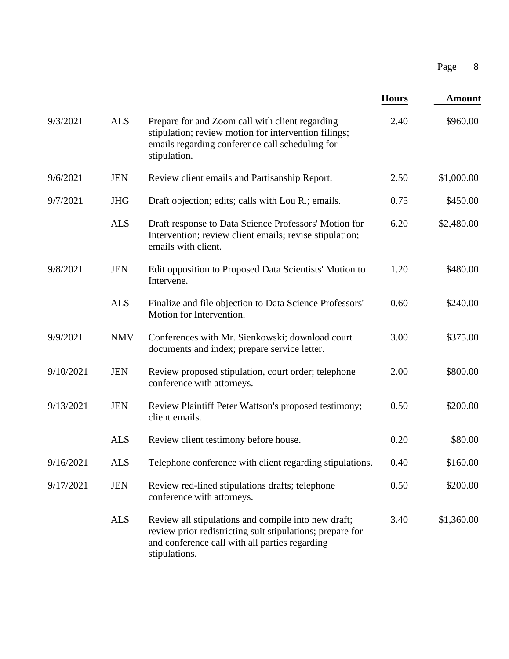|           |            |                                                                                                                                                                                     |              | 8<br>Page     |  |
|-----------|------------|-------------------------------------------------------------------------------------------------------------------------------------------------------------------------------------|--------------|---------------|--|
|           |            |                                                                                                                                                                                     | <b>Hours</b> | <b>Amount</b> |  |
| 9/3/2021  | <b>ALS</b> | Prepare for and Zoom call with client regarding<br>stipulation; review motion for intervention filings;<br>emails regarding conference call scheduling for<br>stipulation.          | 2.40         | \$960.00      |  |
| 9/6/2021  | <b>JEN</b> | Review client emails and Partisanship Report.                                                                                                                                       | 2.50         | \$1,000.00    |  |
| 9/7/2021  | <b>JHG</b> | Draft objection; edits; calls with Lou R.; emails.                                                                                                                                  | 0.75         | \$450.00      |  |
|           | <b>ALS</b> | Draft response to Data Science Professors' Motion for<br>Intervention; review client emails; revise stipulation;<br>emails with client.                                             | 6.20         | \$2,480.00    |  |
| 9/8/2021  | <b>JEN</b> | Edit opposition to Proposed Data Scientists' Motion to<br>Intervene.                                                                                                                | 1.20         | \$480.00      |  |
|           | <b>ALS</b> | Finalize and file objection to Data Science Professors'<br>Motion for Intervention.                                                                                                 | 0.60         | \$240.00      |  |
| 9/9/2021  | <b>NMV</b> | Conferences with Mr. Sienkowski; download court<br>documents and index; prepare service letter.                                                                                     | 3.00         | \$375.00      |  |
| 9/10/2021 | <b>JEN</b> | Review proposed stipulation, court order; telephone<br>conference with attorneys.                                                                                                   | 2.00         | \$800.00      |  |
| 9/13/2021 | <b>JEN</b> | Review Plaintiff Peter Wattson's proposed testimony;<br>client emails.                                                                                                              | 0.50         | \$200.00      |  |
|           | <b>ALS</b> | Review client testimony before house.                                                                                                                                               | 0.20         | \$80.00       |  |
| 9/16/2021 | <b>ALS</b> | Telephone conference with client regarding stipulations.                                                                                                                            | 0.40         | \$160.00      |  |
| 9/17/2021 | <b>JEN</b> | Review red-lined stipulations drafts; telephone<br>conference with attorneys.                                                                                                       | 0.50         | \$200.00      |  |
|           | <b>ALS</b> | Review all stipulations and compile into new draft;<br>review prior redistricting suit stipulations; prepare for<br>and conference call with all parties regarding<br>stipulations. | 3.40         | \$1,360.00    |  |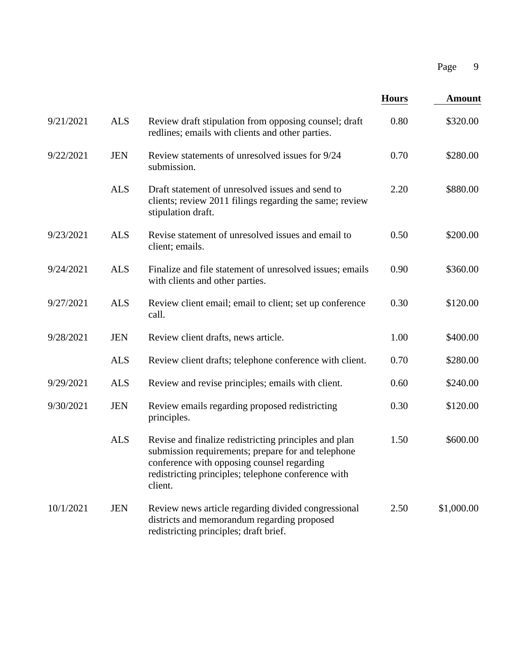|           |            |                                                                                                                                                                                                                             |              | 9<br>Page     |
|-----------|------------|-----------------------------------------------------------------------------------------------------------------------------------------------------------------------------------------------------------------------------|--------------|---------------|
|           |            |                                                                                                                                                                                                                             | <b>Hours</b> | <b>Amount</b> |
| 9/21/2021 | <b>ALS</b> | Review draft stipulation from opposing counsel; draft<br>redlines; emails with clients and other parties.                                                                                                                   | 0.80         | \$320.00      |
| 9/22/2021 | <b>JEN</b> | Review statements of unresolved issues for 9/24<br>submission.                                                                                                                                                              | 0.70         | \$280.00      |
|           | <b>ALS</b> | Draft statement of unresolved issues and send to<br>clients; review 2011 filings regarding the same; review<br>stipulation draft.                                                                                           | 2.20         | \$880.00      |
| 9/23/2021 | <b>ALS</b> | Revise statement of unresolved issues and email to<br>client; emails.                                                                                                                                                       | 0.50         | \$200.00      |
| 9/24/2021 | <b>ALS</b> | Finalize and file statement of unresolved issues; emails<br>with clients and other parties.                                                                                                                                 | 0.90         | \$360.00      |
| 9/27/2021 | <b>ALS</b> | Review client email; email to client; set up conference<br>call.                                                                                                                                                            | 0.30         | \$120.00      |
| 9/28/2021 | <b>JEN</b> | Review client drafts, news article.                                                                                                                                                                                         | 1.00         | \$400.00      |
|           | <b>ALS</b> | Review client drafts; telephone conference with client.                                                                                                                                                                     | 0.70         | \$280.00      |
| 9/29/2021 | <b>ALS</b> | Review and revise principles; emails with client.                                                                                                                                                                           | 0.60         | \$240.00      |
| 9/30/2021 | <b>JEN</b> | Review emails regarding proposed redistricting<br>principles.                                                                                                                                                               | 0.30         | \$120.00      |
|           | <b>ALS</b> | Revise and finalize redistricting principles and plan<br>submission requirements; prepare for and telephone<br>conference with opposing counsel regarding<br>redistricting principles; telephone conference with<br>client. | 1.50         | \$600.00      |
| 10/1/2021 | <b>JEN</b> | Review news article regarding divided congressional<br>districts and memorandum regarding proposed<br>redistricting principles; draft brief.                                                                                | 2.50         | \$1,000.00    |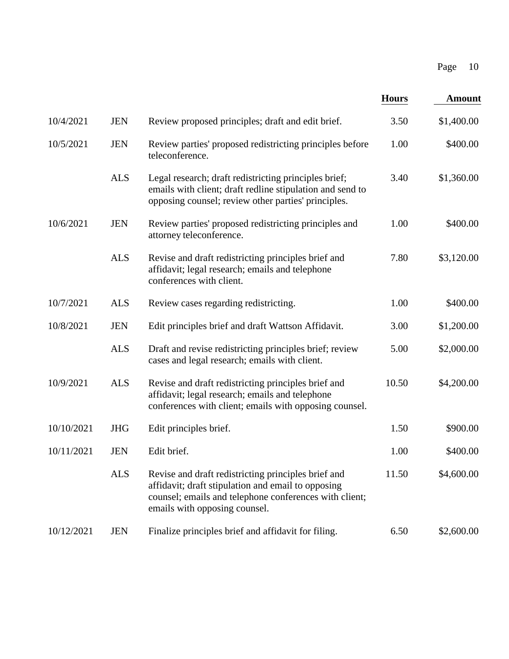|            |            |                                                                                                                                                                                                      |              | 10<br>Page    |  |
|------------|------------|------------------------------------------------------------------------------------------------------------------------------------------------------------------------------------------------------|--------------|---------------|--|
|            |            |                                                                                                                                                                                                      | <b>Hours</b> | <b>Amount</b> |  |
| 10/4/2021  | <b>JEN</b> | Review proposed principles; draft and edit brief.                                                                                                                                                    | 3.50         | \$1,400.00    |  |
| 10/5/2021  | <b>JEN</b> | Review parties' proposed redistricting principles before<br>teleconference.                                                                                                                          | 1.00         | \$400.00      |  |
|            | <b>ALS</b> | Legal research; draft redistricting principles brief;<br>emails with client; draft redline stipulation and send to<br>opposing counsel; review other parties' principles.                            | 3.40         | \$1,360.00    |  |
| 10/6/2021  | <b>JEN</b> | Review parties' proposed redistricting principles and<br>attorney teleconference.                                                                                                                    | 1.00         | \$400.00      |  |
|            | <b>ALS</b> | Revise and draft redistricting principles brief and<br>affidavit; legal research; emails and telephone<br>conferences with client.                                                                   | 7.80         | \$3,120.00    |  |
| 10/7/2021  | <b>ALS</b> | Review cases regarding redistricting.                                                                                                                                                                | 1.00         | \$400.00      |  |
| 10/8/2021  | <b>JEN</b> | Edit principles brief and draft Wattson Affidavit.                                                                                                                                                   | 3.00         | \$1,200.00    |  |
|            | <b>ALS</b> | Draft and revise redistricting principles brief; review<br>cases and legal research; emails with client.                                                                                             | 5.00         | \$2,000.00    |  |
| 10/9/2021  | <b>ALS</b> | Revise and draft redistricting principles brief and<br>affidavit; legal research; emails and telephone<br>conferences with client; emails with opposing counsel.                                     | 10.50        | \$4,200.00    |  |
| 10/10/2021 | <b>JHG</b> | Edit principles brief.                                                                                                                                                                               | 1.50         | \$900.00      |  |
| 10/11/2021 | <b>JEN</b> | Edit brief.                                                                                                                                                                                          | 1.00         | \$400.00      |  |
|            | <b>ALS</b> | Revise and draft redistricting principles brief and<br>affidavit; draft stipulation and email to opposing<br>counsel; emails and telephone conferences with client;<br>emails with opposing counsel. | 11.50        | \$4,600.00    |  |
| 10/12/2021 | <b>JEN</b> | Finalize principles brief and affidavit for filing.                                                                                                                                                  | 6.50         | \$2,600.00    |  |
|            |            |                                                                                                                                                                                                      |              |               |  |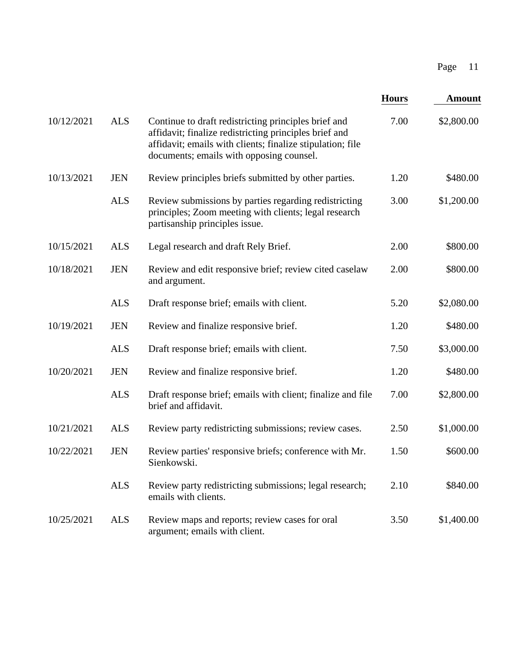|            |            |                                                                                                                                                                                                                          |              | 11<br>Page    |
|------------|------------|--------------------------------------------------------------------------------------------------------------------------------------------------------------------------------------------------------------------------|--------------|---------------|
|            |            |                                                                                                                                                                                                                          | <b>Hours</b> | <b>Amount</b> |
| 10/12/2021 | <b>ALS</b> | Continue to draft redistricting principles brief and<br>affidavit; finalize redistricting principles brief and<br>affidavit; emails with clients; finalize stipulation; file<br>documents; emails with opposing counsel. | 7.00         | \$2,800.00    |
| 10/13/2021 | <b>JEN</b> | Review principles briefs submitted by other parties.                                                                                                                                                                     | 1.20         | \$480.00      |
|            | <b>ALS</b> | Review submissions by parties regarding redistricting<br>principles; Zoom meeting with clients; legal research<br>partisanship principles issue.                                                                         | 3.00         | \$1,200.00    |
| 10/15/2021 | <b>ALS</b> | Legal research and draft Rely Brief.                                                                                                                                                                                     | 2.00         | \$800.00      |
| 10/18/2021 | <b>JEN</b> | Review and edit responsive brief; review cited caselaw<br>and argument.                                                                                                                                                  | 2.00         | \$800.00      |
|            | <b>ALS</b> | Draft response brief; emails with client.                                                                                                                                                                                | 5.20         | \$2,080.00    |
| 10/19/2021 | <b>JEN</b> | Review and finalize responsive brief.                                                                                                                                                                                    | 1.20         | \$480.00      |
|            | <b>ALS</b> | Draft response brief; emails with client.                                                                                                                                                                                | 7.50         | \$3,000.00    |
| 10/20/2021 | <b>JEN</b> | Review and finalize responsive brief.                                                                                                                                                                                    | 1.20         | \$480.00      |
|            | <b>ALS</b> | Draft response brief; emails with client; finalize and file<br>brief and affidavit.                                                                                                                                      | 7.00         | \$2,800.00    |
| 10/21/2021 | <b>ALS</b> | Review party redistricting submissions; review cases.                                                                                                                                                                    | 2.50         | \$1,000.00    |
| 10/22/2021 | <b>JEN</b> | Review parties' responsive briefs; conference with Mr.<br>Sienkowski.                                                                                                                                                    | 1.50         | \$600.00      |
|            | <b>ALS</b> | Review party redistricting submissions; legal research;<br>emails with clients.                                                                                                                                          | 2.10         | \$840.00      |
| 10/25/2021 | <b>ALS</b> | Review maps and reports; review cases for oral<br>argument; emails with client.                                                                                                                                          | 3.50         | \$1,400.00    |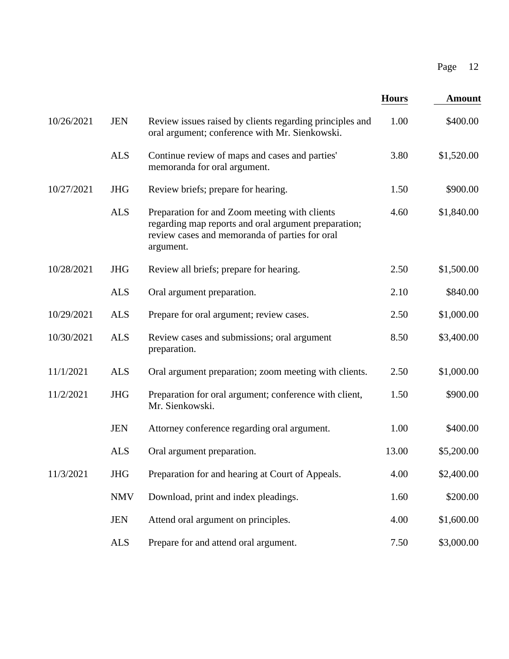| Page<br>12                    |  |
|-------------------------------|--|
| <b>Hours</b><br><b>Amount</b> |  |
| 1.00<br>\$400.00              |  |
| 3.80<br>\$1,520.00            |  |
| 1.50<br>\$900.00              |  |
| \$1,840.00<br>4.60            |  |
| 2.50<br>\$1,500.00            |  |
| 2.10<br>\$840.00              |  |
| 2.50<br>\$1,000.00            |  |
| \$3,400.00<br>8.50            |  |
| 2.50<br>\$1,000.00            |  |
| 1.50<br>\$900.00              |  |
| 1.00<br>\$400.00              |  |
| 13.00<br>\$5,200.00           |  |
| \$2,400.00                    |  |
| \$200.00                      |  |
| \$1,600.00                    |  |
| \$3,000.00                    |  |
| 4.00<br>1.60<br>4.00<br>7.50  |  |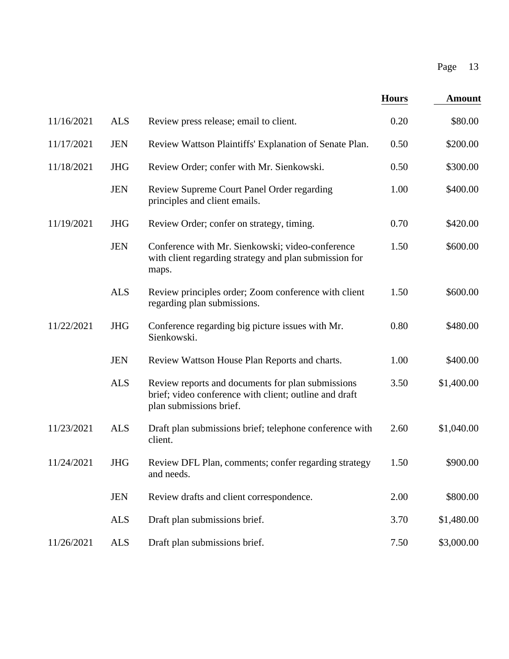|            |            |                                                                                                                                        |              | Page<br>13    |
|------------|------------|----------------------------------------------------------------------------------------------------------------------------------------|--------------|---------------|
|            |            |                                                                                                                                        | <b>Hours</b> | <b>Amount</b> |
| 11/16/2021 | <b>ALS</b> | Review press release; email to client.                                                                                                 | 0.20         | \$80.00       |
| 11/17/2021 | <b>JEN</b> | Review Wattson Plaintiffs' Explanation of Senate Plan.                                                                                 | 0.50         | \$200.00      |
| 11/18/2021 | <b>JHG</b> | Review Order; confer with Mr. Sienkowski.                                                                                              | 0.50         | \$300.00      |
|            | <b>JEN</b> | Review Supreme Court Panel Order regarding<br>principles and client emails.                                                            | 1.00         | \$400.00      |
| 11/19/2021 | <b>JHG</b> | Review Order; confer on strategy, timing.                                                                                              | 0.70         | \$420.00      |
|            | <b>JEN</b> | Conference with Mr. Sienkowski; video-conference<br>with client regarding strategy and plan submission for<br>maps.                    | 1.50         | \$600.00      |
|            | <b>ALS</b> | Review principles order; Zoom conference with client<br>regarding plan submissions.                                                    | 1.50         | \$600.00      |
| 11/22/2021 | <b>JHG</b> | Conference regarding big picture issues with Mr.<br>Sienkowski.                                                                        | 0.80         | \$480.00      |
|            | <b>JEN</b> | Review Wattson House Plan Reports and charts.                                                                                          | 1.00         | \$400.00      |
|            | <b>ALS</b> | Review reports and documents for plan submissions<br>brief; video conference with client; outline and draft<br>plan submissions brief. | 3.50         | \$1,400.00    |
| 11/23/2021 | <b>ALS</b> | Draft plan submissions brief; telephone conference with<br>client.                                                                     | 2.60         | \$1,040.00    |
| 11/24/2021 | <b>JHG</b> | Review DFL Plan, comments; confer regarding strategy<br>and needs.                                                                     | 1.50         | \$900.00      |
|            | <b>JEN</b> | Review drafts and client correspondence.                                                                                               | 2.00         | \$800.00      |
|            | <b>ALS</b> | Draft plan submissions brief.                                                                                                          | 3.70         | \$1,480.00    |
| 11/26/2021 | <b>ALS</b> | Draft plan submissions brief.                                                                                                          | 7.50         | \$3,000.00    |
|            |            |                                                                                                                                        |              |               |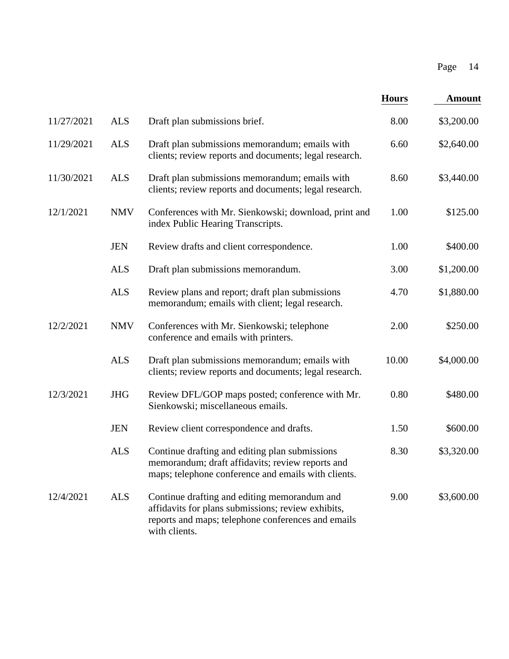|            |            |                                                                                                                                                                           |              | Page<br>14    |
|------------|------------|---------------------------------------------------------------------------------------------------------------------------------------------------------------------------|--------------|---------------|
|            |            |                                                                                                                                                                           | <b>Hours</b> | <b>Amount</b> |
| 11/27/2021 | <b>ALS</b> | Draft plan submissions brief.                                                                                                                                             | 8.00         | \$3,200.00    |
| 11/29/2021 | <b>ALS</b> | Draft plan submissions memorandum; emails with<br>clients; review reports and documents; legal research.                                                                  | 6.60         | \$2,640.00    |
| 11/30/2021 | <b>ALS</b> | Draft plan submissions memorandum; emails with<br>clients; review reports and documents; legal research.                                                                  | 8.60         | \$3,440.00    |
| 12/1/2021  | <b>NMV</b> | Conferences with Mr. Sienkowski; download, print and<br>index Public Hearing Transcripts.                                                                                 | 1.00         | \$125.00      |
|            | <b>JEN</b> | Review drafts and client correspondence.                                                                                                                                  | 1.00         | \$400.00      |
|            | <b>ALS</b> | Draft plan submissions memorandum.                                                                                                                                        | 3.00         | \$1,200.00    |
|            | <b>ALS</b> | Review plans and report; draft plan submissions<br>memorandum; emails with client; legal research.                                                                        | 4.70         | \$1,880.00    |
| 12/2/2021  | <b>NMV</b> | Conferences with Mr. Sienkowski; telephone<br>conference and emails with printers.                                                                                        | 2.00         | \$250.00      |
|            | <b>ALS</b> | Draft plan submissions memorandum; emails with<br>clients; review reports and documents; legal research.                                                                  | 10.00        | \$4,000.00    |
| 12/3/2021  | <b>JHG</b> | Review DFL/GOP maps posted; conference with Mr.<br>Sienkowski; miscellaneous emails.                                                                                      | 0.80         | \$480.00      |
|            | <b>JEN</b> | Review client correspondence and drafts.                                                                                                                                  | 1.50         | \$600.00      |
|            | <b>ALS</b> | Continue drafting and editing plan submissions<br>memorandum; draft affidavits; review reports and<br>maps; telephone conference and emails with clients.                 | 8.30         | \$3,320.00    |
| 12/4/2021  | <b>ALS</b> | Continue drafting and editing memorandum and<br>affidavits for plans submissions; review exhibits,<br>reports and maps; telephone conferences and emails<br>with clients. | 9.00         | \$3,600.00    |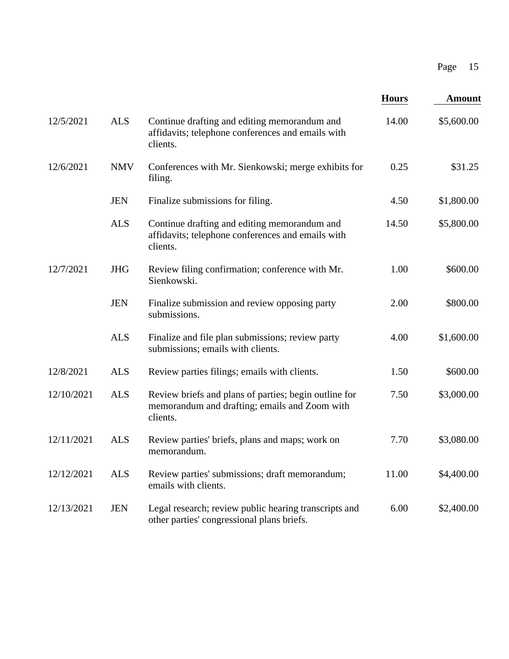|            |            |                                                                                                                    |              | Page<br>15    |
|------------|------------|--------------------------------------------------------------------------------------------------------------------|--------------|---------------|
|            |            |                                                                                                                    | <b>Hours</b> | <b>Amount</b> |
| 12/5/2021  | <b>ALS</b> | Continue drafting and editing memorandum and<br>affidavits; telephone conferences and emails with<br>clients.      | 14.00        | \$5,600.00    |
| 12/6/2021  | <b>NMV</b> | Conferences with Mr. Sienkowski; merge exhibits for<br>filing.                                                     | 0.25         | \$31.25       |
|            | <b>JEN</b> | Finalize submissions for filing.                                                                                   | 4.50         | \$1,800.00    |
|            | <b>ALS</b> | Continue drafting and editing memorandum and<br>affidavits; telephone conferences and emails with<br>clients.      | 14.50        | \$5,800.00    |
| 12/7/2021  | <b>JHG</b> | Review filing confirmation; conference with Mr.<br>Sienkowski.                                                     | 1.00         | \$600.00      |
|            | <b>JEN</b> | Finalize submission and review opposing party<br>submissions.                                                      | 2.00         | \$800.00      |
|            | <b>ALS</b> | Finalize and file plan submissions; review party<br>submissions; emails with clients.                              | 4.00         | \$1,600.00    |
| 12/8/2021  | <b>ALS</b> | Review parties filings; emails with clients.                                                                       | 1.50         | \$600.00      |
| 12/10/2021 | <b>ALS</b> | Review briefs and plans of parties; begin outline for<br>memorandum and drafting; emails and Zoom with<br>clients. | 7.50         | \$3,000.00    |
| 12/11/2021 | <b>ALS</b> | Review parties' briefs, plans and maps; work on<br>memorandum.                                                     | 7.70         | \$3,080.00    |
| 12/12/2021 | <b>ALS</b> | Review parties' submissions; draft memorandum;<br>emails with clients.                                             | 11.00        | \$4,400.00    |
| 12/13/2021 | <b>JEN</b> | Legal research; review public hearing transcripts and<br>other parties' congressional plans briefs.                | 6.00         | \$2,400.00    |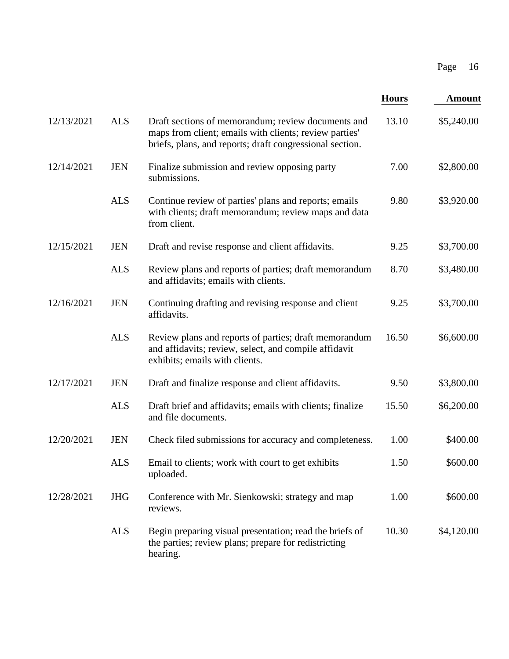|            |            |                                                                                                                                                                          |              | Page<br>16    |
|------------|------------|--------------------------------------------------------------------------------------------------------------------------------------------------------------------------|--------------|---------------|
|            |            |                                                                                                                                                                          | <b>Hours</b> | <b>Amount</b> |
| 12/13/2021 | <b>ALS</b> | Draft sections of memorandum; review documents and<br>maps from client; emails with clients; review parties'<br>briefs, plans, and reports; draft congressional section. | 13.10        | \$5,240.00    |
| 12/14/2021 | <b>JEN</b> | Finalize submission and review opposing party<br>submissions.                                                                                                            | 7.00         | \$2,800.00    |
|            | <b>ALS</b> | Continue review of parties' plans and reports; emails<br>with clients; draft memorandum; review maps and data<br>from client.                                            | 9.80         | \$3,920.00    |
| 12/15/2021 | <b>JEN</b> | Draft and revise response and client affidavits.                                                                                                                         | 9.25         | \$3,700.00    |
|            | <b>ALS</b> | Review plans and reports of parties; draft memorandum<br>and affidavits; emails with clients.                                                                            | 8.70         | \$3,480.00    |
| 12/16/2021 | <b>JEN</b> | Continuing drafting and revising response and client<br>affidavits.                                                                                                      | 9.25         | \$3,700.00    |
|            | <b>ALS</b> | Review plans and reports of parties; draft memorandum<br>and affidavits; review, select, and compile affidavit<br>exhibits; emails with clients.                         | 16.50        | \$6,600.00    |
| 12/17/2021 | <b>JEN</b> | Draft and finalize response and client affidavits.                                                                                                                       | 9.50         | \$3,800.00    |
|            | <b>ALS</b> | Draft brief and affidavits; emails with clients; finalize<br>and file documents.                                                                                         | 15.50        | \$6,200.00    |
| 12/20/2021 | <b>JEN</b> | Check filed submissions for accuracy and completeness.                                                                                                                   | 1.00         | \$400.00      |
|            | <b>ALS</b> | Email to clients; work with court to get exhibits<br>uploaded.                                                                                                           | 1.50         | \$600.00      |
| 12/28/2021 | <b>JHG</b> | Conference with Mr. Sienkowski; strategy and map<br>reviews.                                                                                                             | 1.00         | \$600.00      |
|            | <b>ALS</b> | Begin preparing visual presentation; read the briefs of<br>the parties; review plans; prepare for redistricting<br>hearing.                                              | 10.30        | \$4,120.00    |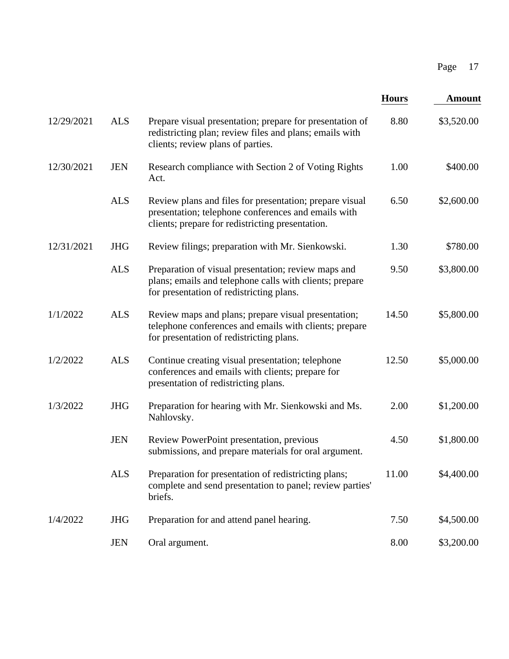|            |            |                                                                                                                                                                    |              | Page<br>17    |
|------------|------------|--------------------------------------------------------------------------------------------------------------------------------------------------------------------|--------------|---------------|
|            |            |                                                                                                                                                                    | <b>Hours</b> | <b>Amount</b> |
| 12/29/2021 | <b>ALS</b> | Prepare visual presentation; prepare for presentation of<br>redistricting plan; review files and plans; emails with<br>clients; review plans of parties.           | 8.80         | \$3,520.00    |
| 12/30/2021 | <b>JEN</b> | Research compliance with Section 2 of Voting Rights<br>Act.                                                                                                        | 1.00         | \$400.00      |
|            | <b>ALS</b> | Review plans and files for presentation; prepare visual<br>presentation; telephone conferences and emails with<br>clients; prepare for redistricting presentation. | 6.50         | \$2,600.00    |
| 12/31/2021 | <b>JHG</b> | Review filings; preparation with Mr. Sienkowski.                                                                                                                   | 1.30         | \$780.00      |
|            | <b>ALS</b> | Preparation of visual presentation; review maps and<br>plans; emails and telephone calls with clients; prepare<br>for presentation of redistricting plans.         | 9.50         | \$3,800.00    |
| 1/1/2022   | <b>ALS</b> | Review maps and plans; prepare visual presentation;<br>telephone conferences and emails with clients; prepare<br>for presentation of redistricting plans.          | 14.50        | \$5,800.00    |
| 1/2/2022   | <b>ALS</b> | Continue creating visual presentation; telephone<br>conferences and emails with clients; prepare for<br>presentation of redistricting plans.                       | 12.50        | \$5,000.00    |
| 1/3/2022   | <b>JHG</b> | Preparation for hearing with Mr. Sienkowski and Ms.<br>Nahlovsky.                                                                                                  | 2.00         | \$1,200.00    |
|            | <b>JEN</b> | Review PowerPoint presentation, previous<br>submissions, and prepare materials for oral argument.                                                                  | 4.50         | \$1,800.00    |
|            | <b>ALS</b> | Preparation for presentation of redistricting plans;<br>complete and send presentation to panel; review parties'<br>briefs.                                        | 11.00        | \$4,400.00    |
| 1/4/2022   | <b>JHG</b> | Preparation for and attend panel hearing.                                                                                                                          | 7.50         | \$4,500.00    |
|            | <b>JEN</b> | Oral argument.                                                                                                                                                     | 8.00         | \$3,200.00    |
|            |            |                                                                                                                                                                    |              |               |